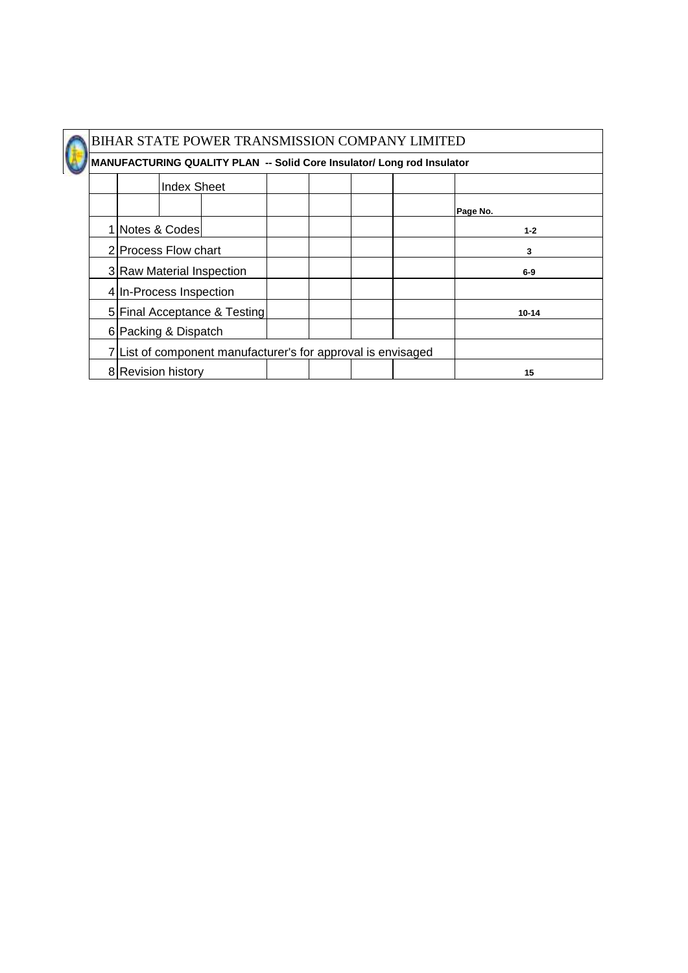

|                         | <b>Index Sheet</b> |                                                              |  |  |           |
|-------------------------|--------------------|--------------------------------------------------------------|--|--|-----------|
|                         |                    |                                                              |  |  | Page No.  |
| 1 Notes & Codes         |                    |                                                              |  |  | $1 - 2$   |
| 2 Process Flow chart    |                    |                                                              |  |  | 3         |
|                         |                    | 3 Raw Material Inspection                                    |  |  | $6-9$     |
| 4 In-Process Inspection |                    |                                                              |  |  |           |
|                         |                    | 5 Final Acceptance & Testing                                 |  |  | $10 - 14$ |
| 6  Packing & Dispatch   |                    |                                                              |  |  |           |
|                         |                    | 7 List of component manufacturer's for approval is envisaged |  |  |           |
| 8 Revision history      |                    |                                                              |  |  | 15        |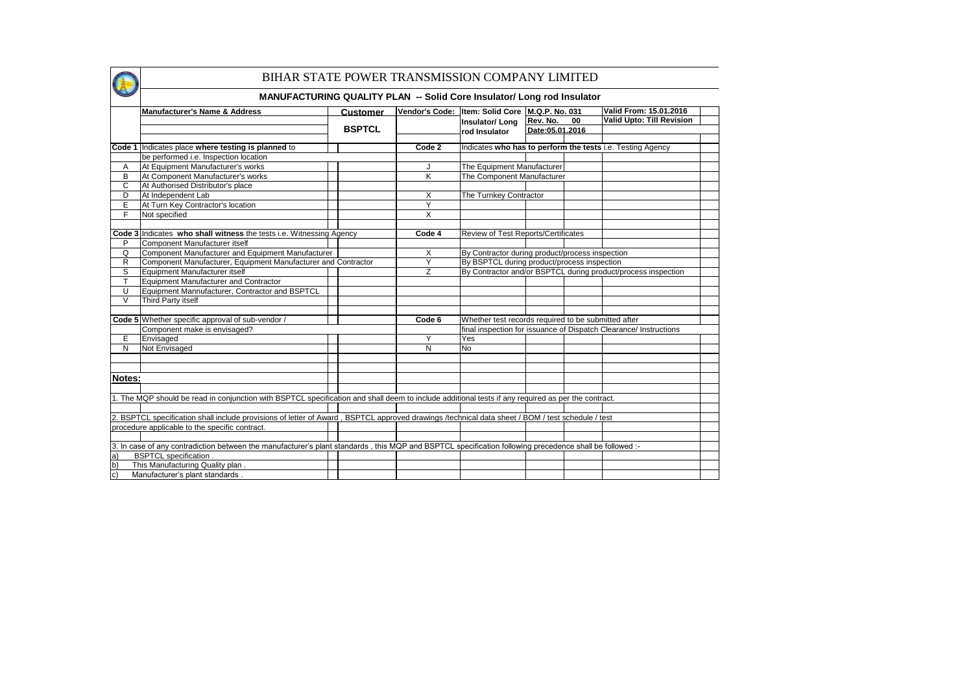|              | Manufacturer's Name & Address                                                                                                                           | Customer      |                         | Vendor's Code: Item: Solid Core M.Q.P. No. 031      |                 |    | Valid From: 15.01.2016                                            |  |
|--------------|---------------------------------------------------------------------------------------------------------------------------------------------------------|---------------|-------------------------|-----------------------------------------------------|-----------------|----|-------------------------------------------------------------------|--|
|              |                                                                                                                                                         |               |                         | Insulator/Long                                      | Rev. No.        | 00 | <b>Valid Upto: Till Revision</b>                                  |  |
|              |                                                                                                                                                         | <b>BSPTCL</b> |                         | rod Insulator                                       | Date:05.01.2016 |    |                                                                   |  |
|              |                                                                                                                                                         |               |                         |                                                     |                 |    |                                                                   |  |
| Code 1       | Indicates place where testing is planned to                                                                                                             |               | Code 2                  |                                                     |                 |    | Indicates who has to perform the tests i.e. Testing Agency        |  |
|              | be performed i.e. Inspection location                                                                                                                   |               |                         |                                                     |                 |    |                                                                   |  |
| Α            | At Equipment Manufacturer's works                                                                                                                       |               | J                       | The Equipment Manufacturer                          |                 |    |                                                                   |  |
| В            | At Component Manufacturer's works                                                                                                                       |               | $\overline{\mathsf{K}}$ | The Component Manufacturer                          |                 |    |                                                                   |  |
| C            | At Authorised Distributor's place                                                                                                                       |               |                         |                                                     |                 |    |                                                                   |  |
| D            | At Independent Lab                                                                                                                                      |               | X                       | The Turnkey Contractor                              |                 |    |                                                                   |  |
| E            | At Turn Key Contractor's location                                                                                                                       |               | Y                       |                                                     |                 |    |                                                                   |  |
| F            | Not specified                                                                                                                                           |               | X                       |                                                     |                 |    |                                                                   |  |
|              |                                                                                                                                                         |               |                         |                                                     |                 |    |                                                                   |  |
|              | Code 3 Indicates who shall witness the tests i.e. Witnessing Agency                                                                                     |               | Code 4                  | Review of Test Reports/Certificates                 |                 |    |                                                                   |  |
| P            | Component Manufacturer itself                                                                                                                           |               |                         |                                                     |                 |    |                                                                   |  |
| Q            | Component Manufacturer and Equipment Manufacturer                                                                                                       |               | X                       | By Contractor during product/process inspection     |                 |    |                                                                   |  |
| R            | Component Manufacturer, Equipment Manufacturer and Contractor                                                                                           |               | Y                       | By BSPTCL during product/process inspection         |                 |    |                                                                   |  |
| S            | Equipment Manufacturer itself                                                                                                                           |               | Z                       |                                                     |                 |    | By Contractor and/or BSPTCL during product/process inspection     |  |
| T            | Equipment Manufacturer and Contractor                                                                                                                   |               |                         |                                                     |                 |    |                                                                   |  |
| U            | Equipment Mannufacturer, Contractor and BSPTCL                                                                                                          |               |                         |                                                     |                 |    |                                                                   |  |
| V            | Third Party itself                                                                                                                                      |               |                         |                                                     |                 |    |                                                                   |  |
|              |                                                                                                                                                         |               |                         |                                                     |                 |    |                                                                   |  |
|              | Code 5 Whether specific approval of sub-vendor /                                                                                                        |               | Code 6                  | Whether test records required to be submitted after |                 |    |                                                                   |  |
|              | Component make is envisaged?                                                                                                                            |               |                         |                                                     |                 |    | final inspection for issuance of Dispatch Clearance/ Instructions |  |
| Е            | Envisaged                                                                                                                                               |               | Y                       | Yes                                                 |                 |    |                                                                   |  |
| N            | Not Envisaged                                                                                                                                           |               | N                       | $\overline{N}$                                      |                 |    |                                                                   |  |
|              |                                                                                                                                                         |               |                         |                                                     |                 |    |                                                                   |  |
|              |                                                                                                                                                         |               |                         |                                                     |                 |    |                                                                   |  |
| Notes:       |                                                                                                                                                         |               |                         |                                                     |                 |    |                                                                   |  |
|              |                                                                                                                                                         |               |                         |                                                     |                 |    |                                                                   |  |
|              | 1. The MQP should be read in conjunction with BSPTCL specification and shall deem to include additional tests if any required as per the contract.      |               |                         |                                                     |                 |    |                                                                   |  |
|              |                                                                                                                                                         |               |                         |                                                     |                 |    |                                                                   |  |
|              | 2. BSPTCL specification shall include provisions of letter of Award, BSPTCL approved drawings /technical data sheet / BOM / test schedule / test        |               |                         |                                                     |                 |    |                                                                   |  |
|              | procedure applicable to the specific contract.                                                                                                          |               |                         |                                                     |                 |    |                                                                   |  |
|              |                                                                                                                                                         |               |                         |                                                     |                 |    |                                                                   |  |
|              | 3. In case of any contradiction between the manufacturer's plant standards, this MQP and BSPTCL specification following precedence shall be followed :- |               |                         |                                                     |                 |    |                                                                   |  |
|              | <b>BSPTCL</b> specification .                                                                                                                           |               |                         |                                                     |                 |    |                                                                   |  |
| a)           |                                                                                                                                                         |               |                         |                                                     |                 |    |                                                                   |  |
| b)           | This Manufacturing Quality plan.                                                                                                                        |               |                         |                                                     |                 |    |                                                                   |  |
| $\mathbf{c}$ | Manufacturer's plant standards                                                                                                                          |               |                         |                                                     |                 |    |                                                                   |  |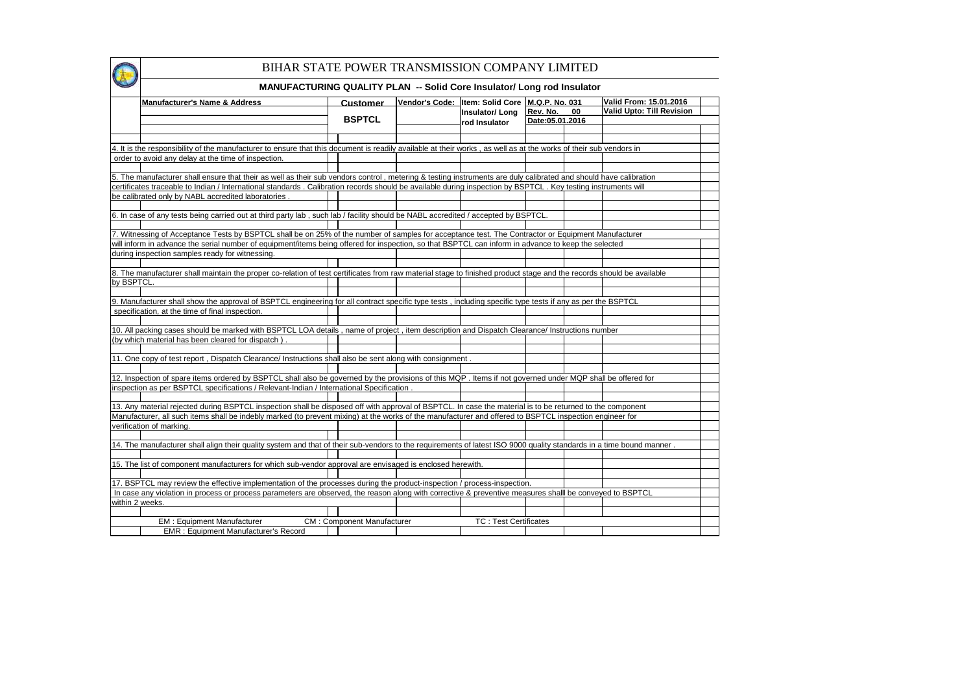|                 | BIHAR STATE POWER TRANSMISSION COMPANY LIMITED                                                                                                                                                     |                                   |                                                                                   |                             |    |                                                            |  |
|-----------------|----------------------------------------------------------------------------------------------------------------------------------------------------------------------------------------------------|-----------------------------------|-----------------------------------------------------------------------------------|-----------------------------|----|------------------------------------------------------------|--|
|                 | <b>MANUFACTURING QUALITY PLAN -- Solid Core Insulator/ Long rod Insulator</b>                                                                                                                      |                                   |                                                                                   |                             |    |                                                            |  |
|                 | <b>Manufacturer's Name &amp; Address</b>                                                                                                                                                           | Customer<br><b>BSPTCL</b>         | Vendor's Code: Item: Solid Core M.Q.P. No. 031<br>Insulator/Long<br>rod Insulator | Rev. No.<br>Date:05.01.2016 | 00 | Valid From: 15.01.2016<br><b>Valid Upto: Till Revision</b> |  |
|                 |                                                                                                                                                                                                    |                                   |                                                                                   |                             |    |                                                            |  |
|                 | 4. It is the responsibility of the manufacturer to ensure that this document is readily available at their works, as well as at the works of their sub vendors in                                  |                                   |                                                                                   |                             |    |                                                            |  |
|                 | order to avoid any delay at the time of inspection.                                                                                                                                                |                                   |                                                                                   |                             |    |                                                            |  |
|                 |                                                                                                                                                                                                    |                                   |                                                                                   |                             |    |                                                            |  |
|                 | 5. The manufacturer shall ensure that their as well as their sub vendors control, metering & testing instruments are duly calibrated and should have calibration                                   |                                   |                                                                                   |                             |    |                                                            |  |
|                 | certificates traceable to Indian / International standards . Calibration records should be available during inspection by BSPTCL . Key testing instruments will                                    |                                   |                                                                                   |                             |    |                                                            |  |
|                 | be calibrated only by NABL accredited laboratories                                                                                                                                                 |                                   |                                                                                   |                             |    |                                                            |  |
|                 | 6. In case of any tests being carried out at third party lab, such lab / facility should be NABL accredited / accepted by BSPTCL                                                                   |                                   |                                                                                   |                             |    |                                                            |  |
|                 |                                                                                                                                                                                                    |                                   |                                                                                   |                             |    |                                                            |  |
|                 | 7. Witnessing of Acceptance Tests by BSPTCL shall be on 25% of the number of samples for acceptance test. The Contractor or Equipment Manufacturer                                                 |                                   |                                                                                   |                             |    |                                                            |  |
|                 | will inform in advance the serial number of equipment/items being offered for inspection, so that BSPTCL can inform in advance to keep the selected                                                |                                   |                                                                                   |                             |    |                                                            |  |
|                 | during inspection samples ready for witnessing.                                                                                                                                                    |                                   |                                                                                   |                             |    |                                                            |  |
|                 |                                                                                                                                                                                                    |                                   |                                                                                   |                             |    |                                                            |  |
|                 | 8. The manufacturer shall maintain the proper co-relation of test certificates from raw material stage to finished product stage and the records should be available                               |                                   |                                                                                   |                             |    |                                                            |  |
| by BSPTCL       |                                                                                                                                                                                                    |                                   |                                                                                   |                             |    |                                                            |  |
|                 |                                                                                                                                                                                                    |                                   |                                                                                   |                             |    |                                                            |  |
|                 | 9. Manufacturer shall show the approval of BSPTCL engineering for all contract specific type tests, including specific type tests if any as per the BSPTCL                                         |                                   |                                                                                   |                             |    |                                                            |  |
|                 | specification, at the time of final inspection.                                                                                                                                                    |                                   |                                                                                   |                             |    |                                                            |  |
|                 |                                                                                                                                                                                                    |                                   |                                                                                   |                             |    |                                                            |  |
|                 | 10. All packing cases should be marked with BSPTCL LOA details, name of project, item description and Dispatch Clearance/ Instructions number<br>(by which material has been cleared for dispatch) |                                   |                                                                                   |                             |    |                                                            |  |
|                 |                                                                                                                                                                                                    |                                   |                                                                                   |                             |    |                                                            |  |
|                 | 11. One copy of test report, Dispatch Clearance/ Instructions shall also be sent along with consignment.                                                                                           |                                   |                                                                                   |                             |    |                                                            |  |
|                 |                                                                                                                                                                                                    |                                   |                                                                                   |                             |    |                                                            |  |
|                 | 12. Inspection of spare items ordered by BSPTCL shall also be governed by the provisions of this MQP. Items if not governed under MQP shall be offered for                                         |                                   |                                                                                   |                             |    |                                                            |  |
|                 | inspection as per BSPTCL specifications / Relevant-Indian / International Specification .                                                                                                          |                                   |                                                                                   |                             |    |                                                            |  |
|                 |                                                                                                                                                                                                    |                                   |                                                                                   |                             |    |                                                            |  |
|                 | 13. Any material rejected during BSPTCL inspection shall be disposed off with approval of BSPTCL. In case the material is to be returned to the component                                          |                                   |                                                                                   |                             |    |                                                            |  |
|                 | Manufacturer, all such items shall be indebly marked (to prevent mixing) at the works of the manufacturer and offered to BSPTCL inspection engineer for                                            |                                   |                                                                                   |                             |    |                                                            |  |
|                 | verification of marking.                                                                                                                                                                           |                                   |                                                                                   |                             |    |                                                            |  |
|                 |                                                                                                                                                                                                    |                                   |                                                                                   |                             |    |                                                            |  |
|                 | 14. The manufacturer shall align their quality system and that of their sub-vendors to the requirements of latest ISO 9000 quality standards in a time bound manner.                               |                                   |                                                                                   |                             |    |                                                            |  |
|                 |                                                                                                                                                                                                    |                                   |                                                                                   |                             |    |                                                            |  |
|                 | 15. The list of component manufacturers for which sub-vendor approval are envisaged is enclosed herewith.                                                                                          |                                   |                                                                                   |                             |    |                                                            |  |
|                 |                                                                                                                                                                                                    |                                   |                                                                                   |                             |    |                                                            |  |
|                 | 17. BSPTCL may review the effective implementation of the processes during the product-inspection / process-inspection.                                                                            |                                   |                                                                                   |                             |    |                                                            |  |
| within 2 weeks. | In case any violation in process or process parameters are observed, the reason along with corrective & preventive measures shalll be conveyed to BSPTCL                                           |                                   |                                                                                   |                             |    |                                                            |  |
|                 |                                                                                                                                                                                                    |                                   |                                                                                   |                             |    |                                                            |  |
|                 | <b>EM: Equipment Manufacturer</b>                                                                                                                                                                  | <b>CM: Component Manufacturer</b> | <b>TC: Test Certificates</b>                                                      |                             |    |                                                            |  |
|                 | <b>EMR: Equipment Manufacturer's Record</b>                                                                                                                                                        |                                   |                                                                                   |                             |    |                                                            |  |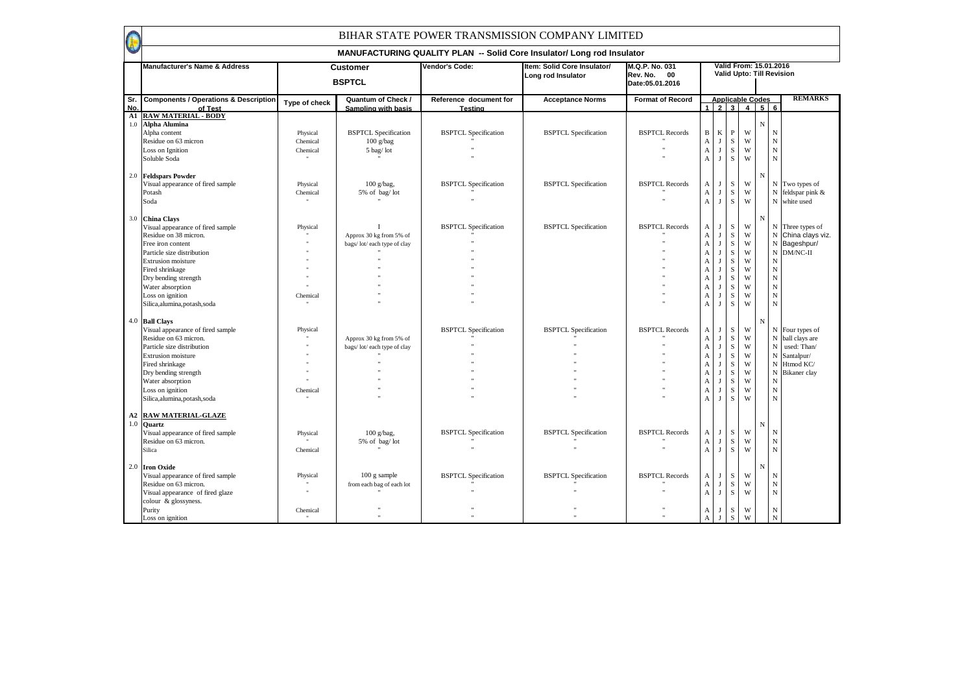F

|            | Manufacturer's Name & Address                               |                      | <b>Customer</b><br><b>BSPTCL</b>                        | Vendor's Code:                    | Item: Solid Core Insulator/<br>Long rod Insulator | M.Q.P. No. 031<br>Rev. No. 00<br>Date:05.01.2016 |                              |                   |              | Valid From: 15.01.2016<br>Valid Upto: Till Revision |             |                |                     |
|------------|-------------------------------------------------------------|----------------------|---------------------------------------------------------|-----------------------------------|---------------------------------------------------|--------------------------------------------------|------------------------------|-------------------|--------------|-----------------------------------------------------|-------------|----------------|---------------------|
| Sr.<br>No. | <b>Components / Operations &amp; Description</b><br>of Test | Type of check        | <b>Quantum of Check /</b><br><b>Sampling with basis</b> | Reference document for<br>Testing | <b>Acceptance Norms</b>                           | <b>Format of Record</b>                          |                              |                   |              | <b>Applicable Codes</b><br>$1 \mid 2 \mid 3 \mid 4$ |             | 56             | <b>REMARKS</b>      |
| ${\bf A1}$ | <b>RAW MATERIAL - BODY</b>                                  |                      |                                                         |                                   |                                                   |                                                  |                              |                   |              |                                                     |             |                |                     |
| $1.0\,$    | Alpha Alumina                                               |                      |                                                         |                                   |                                                   |                                                  |                              |                   |              |                                                     | $\mathbf N$ |                |                     |
|            | Alpha content                                               | Physical             | <b>BSPTCL</b> Specification                             | <b>BSPTCL Specification</b>       | <b>BSPTCL Specification</b>                       | <b>BSPTCL Records</b>                            | $\, {\bf B} \,$              | $\bf K$           | $\, {\bf P}$ | W                                                   |             | ${\bf N}$      |                     |
|            | Residue on 63 micron                                        | Chemical             | $100$ g/bag                                             |                                   |                                                   |                                                  | $\overline{A}$               | $\mathbf{J}$      | ${\bf S}$    | W                                                   |             | ${\bf N}$      |                     |
|            | Loss on Ignition                                            | Chemical             | 5 bag/lot                                               |                                   |                                                   |                                                  | $\boldsymbol{\mathsf{A}}$    | J                 | ${\bf S}$    | W                                                   |             | $\mathbf N$    |                     |
|            | Soluble Soda                                                |                      |                                                         |                                   |                                                   |                                                  | $\boldsymbol{A}$             | $_{\rm J}$        | ${\bf S}$    | W                                                   |             | $\mathbf N$    |                     |
| 2.0        | <b>Feldspars Powder</b>                                     |                      |                                                         |                                   |                                                   |                                                  |                              |                   |              |                                                     | N           |                |                     |
|            | Visual appearance of fired sample                           | Physical             | $100$ g/bag,                                            | <b>BSPTCL Specification</b>       | <b>BSPTCL Specification</b>                       | <b>BSPTCL Records</b>                            | A                            | J                 | ${\bf S}$    | W                                                   |             |                | N Two types of      |
|            | Potash                                                      | Chemical             | 5% of bag/lot                                           |                                   |                                                   |                                                  | $\boldsymbol{A}$             | J                 | ${\bf S}$    | W                                                   |             |                | $N$ feldspar pink & |
|            | Soda                                                        |                      |                                                         |                                   |                                                   |                                                  | $\mathbf{A}$                 | $\mathbf{J}$      | ${\bf S}$    | W                                                   |             |                | N white used        |
| 3.0        |                                                             |                      |                                                         |                                   |                                                   |                                                  |                              |                   |              |                                                     | $_{\rm N}$  |                |                     |
|            | <b>China Clays</b>                                          |                      | Т                                                       | <b>BSPTCL Specification</b>       | <b>BSPTCL Specification</b>                       | <b>BSPTCL Records</b>                            | A                            | J                 | S            | W                                                   |             |                | N Three types of    |
|            | Visual appearance of fired sample<br>Residue on 38 micron.  | Physical             | Approx 30 kg from 5% of                                 |                                   |                                                   |                                                  | $\boldsymbol{A}$             | J                 | S            | W                                                   |             |                | N China clays viz.  |
|            |                                                             |                      |                                                         |                                   |                                                   |                                                  |                              |                   | ${\bf S}$    | W                                                   |             |                | N Bageshpur/        |
|            | Free iron content                                           |                      | bags/lot/each type of clay                              |                                   |                                                   |                                                  | $\mathbf{A}$<br>$\mathbf{A}$ | $\mathbf{J}$<br>J | S            | W                                                   |             |                | N DM/NC-II          |
|            | Particle size distribution                                  |                      |                                                         |                                   |                                                   |                                                  |                              |                   |              | W                                                   |             |                |                     |
|            | <b>Extrusion</b> moisture                                   |                      |                                                         |                                   |                                                   |                                                  | A                            | J                 | ${\bf S}$    |                                                     |             | $\overline{N}$ |                     |
|            | Fired shrinkage                                             |                      |                                                         |                                   |                                                   |                                                  | $\boldsymbol{A}$             | $_{\rm J}$        | ${\bf S}$    | W                                                   |             | $\mathbf N$    |                     |
|            | Dry bending strength                                        |                      |                                                         |                                   |                                                   |                                                  | A                            | J                 | $\,$ S       | W                                                   |             | $\mathbf N$    |                     |
|            | Water absorption                                            |                      |                                                         |                                   |                                                   |                                                  | A                            | $\mathbf{J}$      | ${\bf S}$    | W                                                   |             | $_{\rm N}$     |                     |
|            | Loss on ignition                                            | Chemical             |                                                         |                                   |                                                   |                                                  | A                            | $_{\rm J}$        | ${\bf S}$    | W                                                   |             | $\mathbf N$    |                     |
|            | Silica, alumina, potash, soda                               |                      |                                                         |                                   |                                                   |                                                  | A                            | $\mathbf{J}$      | S            | W                                                   |             | $\overline{N}$ |                     |
|            | 4.0 Ball Clays                                              |                      |                                                         |                                   |                                                   |                                                  |                              |                   |              |                                                     | $_{\rm N}$  |                |                     |
|            | Visual appearance of fired sample                           | Physical             |                                                         | <b>BSPTCL Specification</b>       | <b>BSPTCL Specification</b>                       | <b>BSPTCL Records</b>                            | A                            | $\mathbf{J}$      | S            | W                                                   |             |                | N Four types of     |
|            | Residue on 63 micron.                                       |                      | Approx 30 kg from 5% of                                 |                                   |                                                   |                                                  | $\boldsymbol{A}$             | J                 | ${\bf S}$    | W                                                   |             |                | N ball clays are    |
|            | Particle size distribution                                  |                      | bags/lot/each type of clay                              |                                   |                                                   |                                                  | $\overline{A}$               | $\mathbf{J}$      | ${\bf S}$    | W                                                   |             |                | N used: Than/       |
|            | <b>Extrusion</b> moisture                                   |                      |                                                         |                                   |                                                   |                                                  | $\mathbf{A}$                 | J                 | $\,$ S       | W                                                   |             |                | N Santalpur/        |
|            | Fired shrinkage                                             |                      |                                                         |                                   |                                                   |                                                  | A                            | J                 | ${\bf S}$    | W                                                   |             |                | N Htmod KC/         |
|            | Dry bending strength                                        |                      |                                                         |                                   |                                                   |                                                  | A                            | $\mathbf{J}$      | ${\bf S}$    | W                                                   |             |                | N Bikaner clay      |
|            | Water absorption                                            |                      |                                                         |                                   |                                                   |                                                  | $\boldsymbol{A}$             | $_{\rm J}$        | ${\bf S}$    | W                                                   |             | $_{\rm N}$     |                     |
|            | Loss on ignition                                            | Chemical             |                                                         |                                   |                                                   |                                                  | A                            | J                 | S            | W                                                   |             | ${\bf N}$      |                     |
|            | Silica, alumina, potash, soda                               |                      |                                                         |                                   |                                                   |                                                  | $\boldsymbol{A}$             | $\mathbf{J}$      | ${\bf S}$    | W                                                   |             | ${\bf N}$      |                     |
| A2         | <b>RAW MATERIAL-GLAZE</b>                                   |                      |                                                         |                                   |                                                   |                                                  |                              |                   |              |                                                     |             |                |                     |
| 1.0        | <b>Quartz</b>                                               |                      |                                                         |                                   |                                                   |                                                  |                              |                   |              |                                                     | N           |                |                     |
|            | Visual appearance of fired sample                           | Physical             | $100$ g/bag,                                            | <b>BSPTCL Specification</b>       | <b>BSPTCL Specification</b>                       | <b>BSPTCL Records</b>                            | A                            | J                 | ${\bf S}$    | W                                                   |             | ${\bf N}$      |                     |
|            | Residue on 63 micron.                                       |                      | 5% of bag/lot                                           |                                   |                                                   |                                                  | $\boldsymbol{A}$             | J                 | $\,$ S       | W                                                   |             | $\mathbf N$    |                     |
|            | Silica                                                      | Chemical             |                                                         |                                   |                                                   |                                                  | $\mathbf{A}$                 | $\mathbf{J}$      | $\,$ S       | W                                                   |             | $\mathbf N$    |                     |
|            | 2.0 Iron Oxide                                              |                      |                                                         |                                   |                                                   |                                                  |                              |                   |              |                                                     | N           |                |                     |
|            | Visual appearance of fired sample                           | Physical             | $100$ g sample                                          | <b>BSPTCL Specification</b>       | <b>BSPTCL Specification</b>                       | <b>BSPTCL Records</b>                            | A                            | J                 | ${\bf S}$    | W                                                   |             | ${\bf N}$      |                     |
|            | Residue on 63 micron.                                       |                      | from each bag of each lot                               |                                   |                                                   |                                                  | $\overline{A}$               | $_{\rm J}$        | ${\bf S}$    | W                                                   |             | $\mathbf N$    |                     |
|            | Visual appearance of fired glaze                            | $\ddot{\phantom{0}}$ |                                                         |                                   |                                                   |                                                  | $\boldsymbol{A}$             | $\mathbf{J}$      | $\,$ S       | W                                                   |             | $\overline{N}$ |                     |
|            | colour & glossyness.                                        |                      |                                                         |                                   |                                                   |                                                  |                              |                   |              |                                                     |             |                |                     |
|            | Purity                                                      | Chemical             |                                                         |                                   |                                                   |                                                  | А                            | J                 | S            | W                                                   |             | ${\bf N}$      |                     |
|            | Loss on ignition                                            |                      |                                                         |                                   |                                                   |                                                  | A                            | $\mathbf{I}$      | $\,$ S       | W                                                   |             | ${\bf N}$      |                     |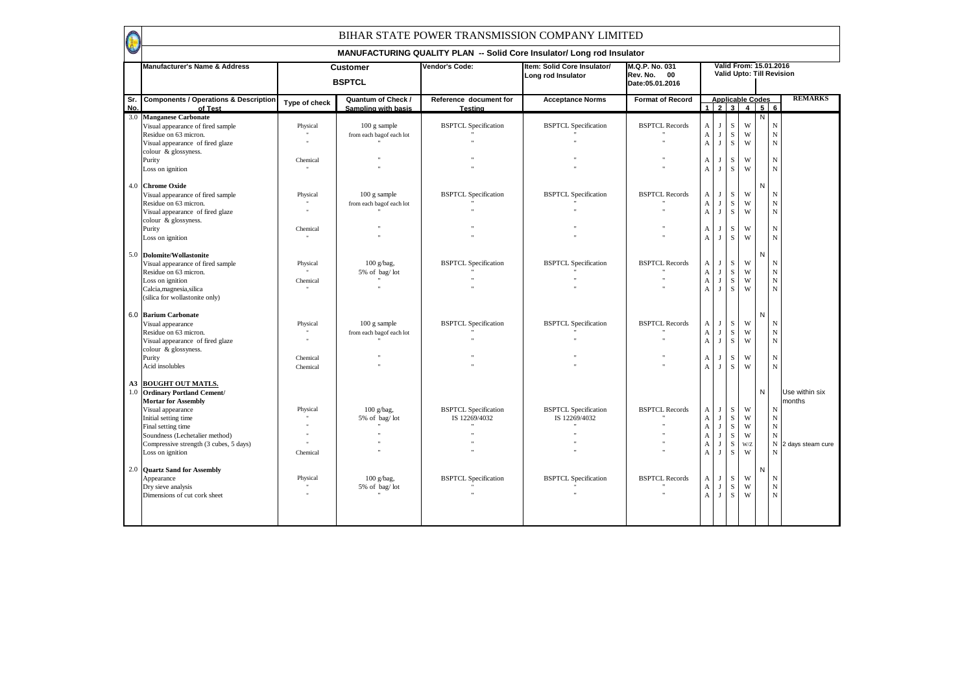|            |                                                                                                                                                                                                                                                                                                                                  |                                  |                                                                                        |                                                            | MANUFACTURING QUALITY PLAN -- Solid Core Insulator/ Long rod Insulator |                                                  |                                                                                                                 |                                                                                            |                                                                                                            |                                      |              |                                                                                                                             |
|------------|----------------------------------------------------------------------------------------------------------------------------------------------------------------------------------------------------------------------------------------------------------------------------------------------------------------------------------|----------------------------------|----------------------------------------------------------------------------------------|------------------------------------------------------------|------------------------------------------------------------------------|--------------------------------------------------|-----------------------------------------------------------------------------------------------------------------|--------------------------------------------------------------------------------------------|------------------------------------------------------------------------------------------------------------|--------------------------------------|--------------|-----------------------------------------------------------------------------------------------------------------------------|
|            | <b>Manufacturer's Name &amp; Address</b>                                                                                                                                                                                                                                                                                         |                                  | <b>Customer</b><br><b>BSPTCL</b>                                                       | Vendor's Code:                                             | Item: Solid Core Insulator/<br>Long rod Insulator                      | M.Q.P. No. 031<br>Rev. No. 00<br>Date:05.01.2016 |                                                                                                                 |                                                                                            |                                                                                                            |                                      |              | Valid From: 15.01.2016<br><b>Valid Upto: Till Revision</b>                                                                  |
| Sr.<br>No. | <b>Components / Operations &amp; Description</b><br>of Test                                                                                                                                                                                                                                                                      | Type of check                    | Quantum of Check /<br>Sampling with basis                                              | Reference document for<br><b>Testing</b>                   | <b>Acceptance Norms</b>                                                | <b>Format of Record</b>                          |                                                                                                                 |                                                                                            |                                                                                                            | <b>Applicable Codes</b><br>123456    |              | <b>REMARKS</b>                                                                                                              |
| 3.0        | <b>Manganese Carbonate</b><br>Visual appearance of fired sample<br>Residue on 63 micron.<br>Visual appearance of fired glaze<br>colour & glossyness.<br>Purity<br>Loss on ignition<br>4.0 Chrome Oxide<br>Visual appearance of fired sample<br>Residue on 63 micron.<br>Visual appearance of fired glaze<br>colour & glossyness. | Physical<br>Chemical<br>Physical | 100 g sample<br>from each bagof each lot<br>$100$ g sample<br>from each bagof each lot | <b>BSPTCL Specification</b><br><b>BSPTCL Specification</b> | <b>BSPTCL Specification</b><br><b>BSPTCL Specification</b>             | <b>BSPTCL Records</b><br><b>BSPTCL Records</b>   | A<br>$\mathbf A$<br>$\boldsymbol{\rm{A}}$<br>A<br>$\mathbf{A}$<br>A<br>$\boldsymbol{\mathsf{A}}$<br>$\mathbf A$ | J<br>$\mathbf{J}$<br>$\mathbf{J}$<br>J<br>$\mathbf{J}$<br>J<br>$\mathbf I$<br>$\mathbf{J}$ | $\mathbf S$<br>$\mathbf S$<br>$\mathbf S$<br>$\mathbf S$<br>S<br>$\mathbf S$<br>$\mathbf S$<br>$\mathbf S$ | W<br>W<br>W<br>W<br>W<br>W<br>W<br>W | Ν<br>N       | $_{\rm N}$<br>${\bf N}$<br>$\mathbf N$<br>$\mathbf N$<br>$\mathbf N$<br>$\mathbf N$<br>$_{\rm N}$<br>$\mathbf N$            |
|            | Purity<br>Loss on ignition                                                                                                                                                                                                                                                                                                       | Chemical                         |                                                                                        |                                                            |                                                                        |                                                  | A<br>A                                                                                                          | $\mathbf{J}$                                                                               | $\mathbf S$<br>$\mathbf S$                                                                                 | W<br>W                               | N            | $\mathbf N$<br>N                                                                                                            |
|            | 5.0 Dolomite/Wollastonite<br>Visual appearance of fired sample<br>Residue on 63 micron.<br>Loss on ignition<br>Calcia, magnesia, silica<br>(silica for wollastonite only)                                                                                                                                                        | Physical<br>Chemical             | $100$ g/bag.<br>5% of bag/lot                                                          | <b>BSPTCL Specification</b>                                | <b>BSPTCL Specification</b>                                            | <b>BSPTCL Records</b>                            | A<br>$\mathbf A$<br>$\mathbf A$<br>$\boldsymbol{\rm{A}}$                                                        | $\mathbf{J}$<br>$\mathbf{I}$<br>$\mathbf{I}$<br>$\mathbf{J}$                               | $\mathbf S$<br>$\mathbf S$<br>$\mathbf S$<br>$\,$ S                                                        | W<br>W<br>W<br>W                     |              | N<br>$\mathbf N$<br>$\mathbf N$<br>$\mathbf N$                                                                              |
|            | 6.0 Barium Carbonate<br>Visual appearance<br>Residue on 63 micron.<br>Visual appearance of fired glaze<br>colour & glossyness.<br>Purity<br>Acid insolubles                                                                                                                                                                      | Physical<br>Chemical<br>Chemical | 100 g sample<br>from each bagof each lot                                               | <b>BSPTCL Specification</b>                                | <b>BSPTCL Specification</b>                                            | <b>BSPTCL Records</b>                            | A<br>$\boldsymbol{\mathsf{A}}$<br>$\mathbf A$<br>A<br>A                                                         | J<br>$\mathbf{J}$<br>J<br>$\mathbf{J}$                                                     | $\mathbf S$<br>$\mathbf S$<br>$\rm S$<br>$\mathbf S$<br>$\mathbf S$                                        | W<br>W<br>W<br>W<br>W                | N            | N<br>$\mathbf N$<br>$_{\rm N}$<br>$_{\rm N}$<br>$_{\rm N}$                                                                  |
| A3<br>1.0  | <b>BOUGHT OUT MATLS.</b><br><b>Ordinary Portland Cement/</b><br><b>Mortar for Assembly</b><br>Visual appearance<br>Initial setting time<br>Final setting time<br>Soundness (Lechetalier method)<br>Compressive strength (3 cubes, 5 days)<br>Loss on ignition                                                                    | Physical<br>Chemical             | $100$ g/bag,<br>5% of bag/lot                                                          | <b>BSPTCL Specification</b><br>IS 12269/4032               | <b>BSPTCL Specification</b><br>IS 12269/4032                           | <b>BSPTCL Records</b>                            | A<br>$\mathbf A$<br>$\boldsymbol{\mathsf{A}}$<br>$\mathbf A$<br>$\boldsymbol{\rm{A}}$<br>$\mathbf{A}$           | $\mathbf{J}$<br>J<br>$\mathbf{J}$<br>$\mathbf{J}$<br>$\mathbf{J}$<br>$\mathbf{J}$          | $\mathbf S$<br>$\mathbf S$<br>$\mathbf S$<br>$\mathbf S$<br>$\mathbf S$<br>$\mathbf S$                     | W<br>W<br>W<br>W<br>W/Z<br>W         | $\mathsf{N}$ | Use within six<br>months<br>N<br>$\mathbf N$<br>$\mathbf N$<br>$\mathbf N$<br>${\bf N}$<br>2 days steam cure<br>$\mathbf N$ |
|            | 2.0 Quartz Sand for Assembly<br>Appearance<br>Dry sieve analysis<br>Dimensions of cut cork sheet                                                                                                                                                                                                                                 | Physical                         | $100$ g/bag.<br>5% of bag/lot                                                          | <b>BSPTCL Specification</b>                                | <b>BSPTCL Specification</b>                                            | <b>BSPTCL Records</b>                            | $\mathbf{A}$<br>$\boldsymbol{\mathsf{A}}$<br>$\mathbf A$                                                        | J<br>$\mathbf I$<br>J                                                                      | $\mathbf S$<br>$\mathbf S$<br>$\mathbf S$                                                                  | W<br>W<br>W                          | N            | $\mathbf N$<br>$\mathbf N$<br>$\mathbf N$                                                                                   |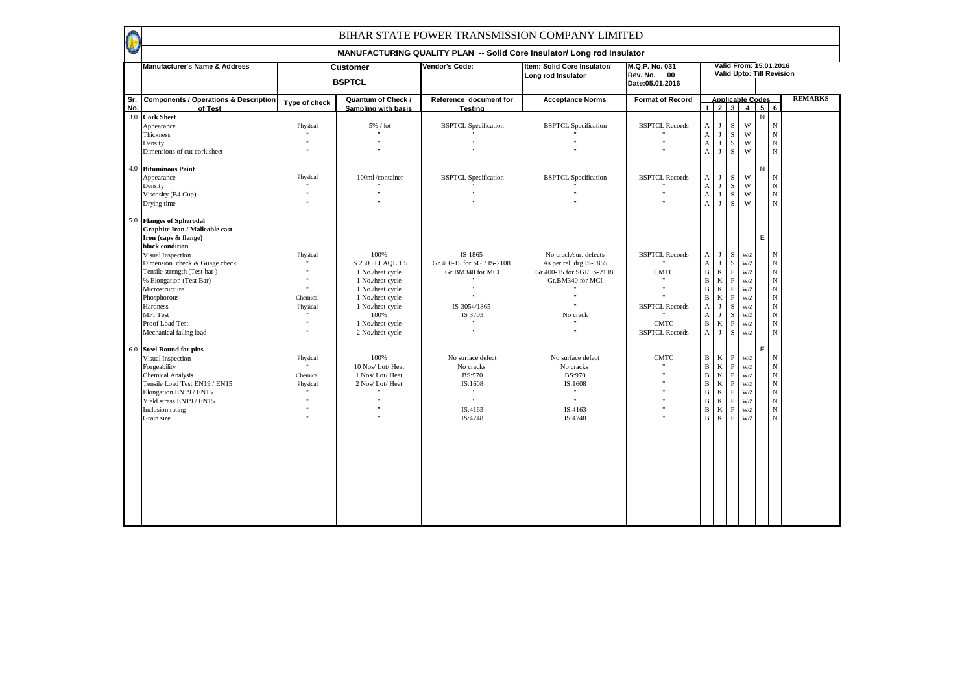|            | Manufacturer's Name & Address                                                                                |               | <b>Customer</b><br><b>BSPTCL</b>                 | Vendor's Code:                    | Item: Solid Core Insulator/<br>Long rod Insulator | M.Q.P. No. 031<br>Rev. No. 00<br>Date: 05.01.2016 |                           |              |              |                                                    |   | Valid From: 15.01.2016<br>Valid Upto: Till Revision |                |
|------------|--------------------------------------------------------------------------------------------------------------|---------------|--------------------------------------------------|-----------------------------------|---------------------------------------------------|---------------------------------------------------|---------------------------|--------------|--------------|----------------------------------------------------|---|-----------------------------------------------------|----------------|
| Sr.<br>No. | <b>Components / Operations &amp; Description</b><br>of Test                                                  | Type of check | <b>Quantum of Check /</b><br>Sampling with basis | Reference document for<br>Testing | <b>Acceptance Norms</b>                           | <b>Format of Record</b>                           |                           |              |              | <b>Applicable Codes</b><br>$1 \ 2 \ 3 \ 4 \ 5 \ 6$ |   |                                                     | <b>REMARKS</b> |
|            | 3.0 Cork Sheet                                                                                               |               |                                                  |                                   |                                                   |                                                   |                           |              |              |                                                    | N |                                                     |                |
|            | Appearance                                                                                                   | Physical      | 5% / lot                                         | <b>BSPTCL Specification</b>       | <b>BSPTCL Specification</b>                       | <b>BSPTCL Records</b>                             | A                         | $\mathbf{J}$ | S            | W                                                  |   | $\mathbf N$                                         |                |
|            | Thickness                                                                                                    |               |                                                  |                                   |                                                   |                                                   | $\mathbf A$               | J            | S            | W                                                  |   | ${\bf N}$                                           |                |
|            | Density                                                                                                      |               |                                                  |                                   |                                                   |                                                   | $\mathbf A$               | $_{\rm J}$   | S            | W                                                  |   | $\mathbf N$                                         |                |
|            | Dimensions of cut cork sheet                                                                                 |               |                                                  |                                   |                                                   |                                                   | $\mathbf{A}$              | $_{\rm J}$   | $\mathbf S$  | W                                                  |   | ${\bf N}$                                           |                |
| 4.0        | <b>Bituminous Paint</b>                                                                                      |               |                                                  |                                   |                                                   |                                                   |                           |              |              |                                                    | N |                                                     |                |
|            | Appearance                                                                                                   | Physical      | 100ml/container                                  | <b>BSPTCL Specification</b>       | <b>BSPTCL Specification</b>                       | <b>BSPTCL Records</b>                             | A                         | J            | S            | W                                                  |   | N                                                   |                |
|            | Density                                                                                                      |               |                                                  |                                   |                                                   |                                                   | $\mathbf A$               | J            | ${\bf S}$    | W                                                  |   | $\mathbf N$                                         |                |
|            | Viscosity (B4 Cup)                                                                                           |               |                                                  |                                   |                                                   |                                                   | $\mathbf A$               | J            | $\,$ S       | W                                                  |   | $\mathbf N$                                         |                |
|            | Drying time                                                                                                  |               |                                                  |                                   |                                                   |                                                   | $\mathbf{A}$              | J            | S            | W                                                  |   | $\mathbf N$                                         |                |
|            | 5.0 Flanges of Spherodal<br><b>Graphite Iron / Malleable cast</b><br>Iron (caps & flange)<br>black condition |               |                                                  |                                   |                                                   |                                                   |                           |              |              |                                                    | E |                                                     |                |
|            | Visual Inspection                                                                                            | Physical      | 100%                                             | IS-1865                           | No crack/sur. defects                             | <b>BSPTCL Records</b>                             | A                         | J            | S            | W/Z                                                |   | $_{\rm N}$                                          |                |
|            | Dimension check & Guage check                                                                                |               | IS 2500 LI AQL 1.5                               | Gr.400-15 for SGI/IS-2108         | As per rel. drg.IS-1865                           |                                                   | $\boldsymbol{\mathsf{A}}$ | $_{\rm J}$   | $\rm S$      | W/Z                                                |   | $\mathbf N$                                         |                |
|            | Tensile strength (Test bar)                                                                                  |               | 1 No./heat cycle                                 | Gr.BM340 for MCI                  | Gr.400-15 for SGI/IS-2108                         | <b>CMTC</b>                                       | $\, {\bf B}$              | $\bf K$      | $\, {\bf P}$ | W/Z                                                |   | $\mathbf N$                                         |                |
|            | % Elongation (Test Bar)                                                                                      |               | 1 No./heat cycle                                 | $\mathbf{u}$                      | Gr.BM340 for MCI                                  | $\mathbf{H}$                                      | $\, {\bf B}$              | $\bf K$      | $\, {\bf P}$ | W/Z                                                |   | $\mathbf N$                                         |                |
|            | Microstructure                                                                                               |               | 1 No./heat cycle                                 |                                   |                                                   |                                                   | $\, {\bf B}$              | $\bf K$      | $\, {\bf P}$ | W/Z                                                |   | $\mathbf N$                                         |                |
|            | Phosphorous                                                                                                  | Chemical      | 1 No./heat cycle                                 |                                   |                                                   |                                                   | $\, {\bf B}$              | $\bf K$      | $\mathbf{P}$ | W/Z                                                |   | $\mathbf N$                                         |                |
|            | Hardness                                                                                                     | Physical      | 1 No./heat cycle                                 | IS-3054/1865                      |                                                   | <b>BSPTCL Records</b>                             | $\mathbf{A}$              | $\mathbf{J}$ | S            | W/Z                                                |   | $\mathbf N$                                         |                |
|            | <b>MPI</b> Test                                                                                              |               | 100%                                             | IS 3703                           | No crack                                          |                                                   | A                         | $_{\rm J}$   | S            | W/Z                                                |   | ${\bf N}$                                           |                |
|            | Proof Load Test                                                                                              |               | 1 No./heat cycle                                 | $\ddot{\phantom{0}}$              |                                                   | <b>CMTC</b>                                       | $\, {\bf B}$              | $\bf K$      | $\, {\bf P}$ | W/Z                                                |   | $\mathbf N$                                         |                |
|            | Mechanical failing load                                                                                      |               | 2 No./heat cycle                                 |                                   |                                                   | <b>BSPTCL Records</b>                             | A                         | J            | S            | W/Z                                                |   | $\mathbf N$                                         |                |
| 6.0        | <b>Steel Round for pins</b>                                                                                  |               |                                                  |                                   |                                                   |                                                   |                           |              |              |                                                    | E |                                                     |                |
|            | Visual Inspection                                                                                            | Physical      | 100%                                             | No surface defect                 | No surface defect                                 | <b>CMTC</b>                                       | $\, {\bf B}$              | $\bf K$      | ${\bf P}$    | W/Z                                                |   | ${\bf N}$                                           |                |
|            | Forgeability                                                                                                 |               | 10 Nos/Lot/Heat                                  | No cracks                         | No cracks                                         |                                                   | $\, {\bf B}$              | $\bf K$      | $\mathbf{P}$ | W/Z                                                |   | $_{\rm N}$                                          |                |
|            | <b>Chemical Analysis</b>                                                                                     | Chemical      | 1 Nos/Lot/Heat                                   | <b>BS:970</b>                     | <b>BS:970</b>                                     |                                                   | $\, {\bf B}$              | $\bf K$      | $\mathbf{P}$ | W/Z                                                |   | $_{\rm N}$                                          |                |
|            | Tensile Load Test EN19 / EN15                                                                                | Physical      | 2 Nos/Lot/Heat                                   | IS:1608                           | IS:1608<br>$\mathbf{u}$                           |                                                   | $\, {\bf B}$              | $\bf K$      | $\, {\bf P}$ | W/Z                                                |   | $_{\rm N}$                                          |                |
|            | Elongation EN19 / EN15                                                                                       |               | $\mathbf{u}$                                     | $\mathbf{u}$                      | $\mathbf{u}$                                      |                                                   | $\, {\bf B}$              | $\bf K$      | $\, {\bf P}$ | W/Z                                                |   | $\mathbf N$                                         |                |
|            | Yield stress EN19 / EN15                                                                                     |               |                                                  |                                   |                                                   |                                                   | $\, {\bf B}$              | $\bf K$      | $\, {\bf P}$ | W/Z                                                |   | $\mathbf N$                                         |                |
|            | Inclusion rating                                                                                             |               |                                                  | IS:4163                           | IS:4163                                           |                                                   | $\, {\bf B}$              | $\bf K$      | $\mathbf{P}$ | W/Z                                                |   | $_{\rm N}$                                          |                |
|            | Grain size                                                                                                   |               |                                                  | IS:4748                           | IS:4748                                           |                                                   | $\mathbf{B}$              | $\bf K$      | $\mathbf{P}$ | W/Z                                                |   | $_{\rm N}$                                          |                |
|            |                                                                                                              |               |                                                  |                                   |                                                   |                                                   |                           |              |              |                                                    |   |                                                     |                |
|            |                                                                                                              |               |                                                  |                                   |                                                   |                                                   |                           |              |              |                                                    |   |                                                     |                |
|            |                                                                                                              |               |                                                  |                                   |                                                   |                                                   |                           |              |              |                                                    |   |                                                     |                |
|            |                                                                                                              |               |                                                  |                                   |                                                   |                                                   |                           |              |              |                                                    |   |                                                     |                |
|            |                                                                                                              |               |                                                  |                                   |                                                   |                                                   |                           |              |              |                                                    |   |                                                     |                |
|            |                                                                                                              |               |                                                  |                                   |                                                   |                                                   |                           |              |              |                                                    |   |                                                     |                |
|            |                                                                                                              |               |                                                  |                                   |                                                   |                                                   |                           |              |              |                                                    |   |                                                     |                |
|            |                                                                                                              |               |                                                  |                                   |                                                   |                                                   |                           |              |              |                                                    |   |                                                     |                |
|            |                                                                                                              |               |                                                  |                                   |                                                   |                                                   |                           |              |              |                                                    |   |                                                     |                |
|            |                                                                                                              |               |                                                  |                                   |                                                   |                                                   |                           |              |              |                                                    |   |                                                     |                |
|            |                                                                                                              |               |                                                  |                                   |                                                   |                                                   |                           |              |              |                                                    |   |                                                     |                |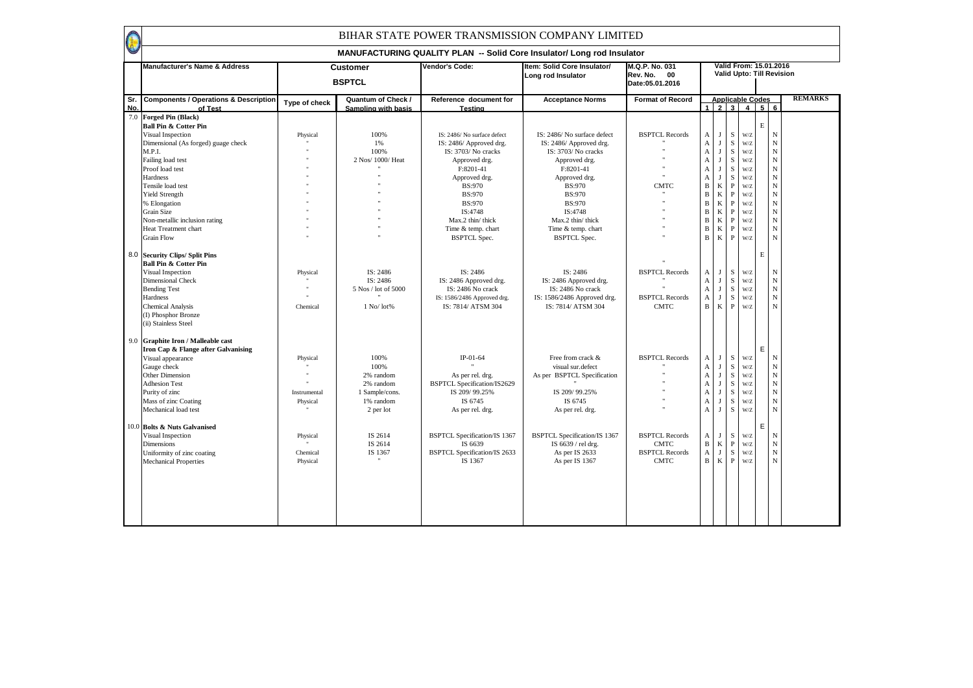|            | Manufacturer's Name & Address                                         |               | <b>Customer</b><br><b>BSPTCL</b>          | Vendor's Code:                           | Item: Solid Core Insulator/<br>Long rod Insulator | M.Q.P. No. 031<br>Rev. No. 00<br>Date: 05.01.2016 |                           |              |              | Valid From: 15.01.2016<br>Valid Upto: Till Revision |             |             |                |
|------------|-----------------------------------------------------------------------|---------------|-------------------------------------------|------------------------------------------|---------------------------------------------------|---------------------------------------------------|---------------------------|--------------|--------------|-----------------------------------------------------|-------------|-------------|----------------|
| Sr.<br>No. | <b>Components / Operations &amp; Description</b><br>of Test           | Type of check | Quantum of Check /<br>Sampling with basis | Reference document for<br><b>Testing</b> | <b>Acceptance Norms</b>                           | <b>Format of Record</b>                           |                           |              |              | <b>Applicable Codes</b><br>1 2 3 4 5 6              |             |             | <b>REMARKS</b> |
|            | 7.0 Forged Pin (Black)                                                |               |                                           |                                          |                                                   |                                                   |                           |              |              |                                                     |             |             |                |
|            | <b>Ball Pin &amp; Cotter Pin</b>                                      |               |                                           |                                          |                                                   |                                                   |                           |              |              |                                                     | $\mathbf E$ |             |                |
|            | Visual Inspection                                                     | Physical      | 100%                                      | IS: 2486/No surface defect               | IS: 2486/ No surface defect                       | <b>BSPTCL Records</b>                             | A                         | J            | S            | W/Z                                                 |             | ${\bf N}$   |                |
|            | Dimensional (As forged) guage check                                   |               | 1%                                        | IS: 2486/ Approved drg.                  | IS: 2486/ Approved drg.                           |                                                   | $\mathbf{A}$              | J            | $\,$ S       | W/Z                                                 |             | $\mathbf N$ |                |
|            | M.P.I.                                                                |               | 100%                                      | IS: 3703/ No cracks                      | IS: 3703/ No cracks                               |                                                   | $\mathbf A$               | $\mathbf{J}$ | $\mathbf S$  | W/Z                                                 |             | ${\bf N}$   |                |
|            | Failing load test                                                     |               | 2 Nos/ 1000/ Heat                         | Approved drg.                            | Approved drg.                                     |                                                   | $\boldsymbol{\mathsf{A}}$ | $\mathbf{J}$ | ${\bf S}$    | W/Z                                                 |             | $_{\rm N}$  |                |
|            | Proof load test                                                       |               |                                           | F:8201-41                                | F:8201-41                                         |                                                   | $\mathbf A$               | $\mathbf{I}$ | S            | W/Z                                                 |             | ${\bf N}$   |                |
|            | Hardness                                                              |               |                                           | Approved drg.                            | Approved drg.                                     |                                                   | $\boldsymbol{\mathsf{A}}$ | $\mathbf{J}$ | $\mathbf S$  | W/Z                                                 |             | ${\bf N}$   |                |
|            | Tensile load test                                                     |               |                                           | <b>BS:970</b>                            | <b>BS:970</b>                                     | <b>CMTC</b>                                       | $\, {\bf B}$              | $\,$ K       | $\, {\bf P}$ | W/Z                                                 |             | ${\bf N}$   |                |
|            | Yield Strength                                                        |               |                                           | <b>BS:970</b>                            | <b>BS:970</b>                                     |                                                   | $\mathbf{B}$              | $\bf K$      | $\mathbf{P}$ | W/Z                                                 |             | $\mathbf N$ |                |
|            | % Elongation                                                          |               |                                           | <b>BS:970</b>                            | <b>BS:970</b>                                     |                                                   | $\mathbf{B}$              | $\bf K$      | $\mathbf{P}$ | W/Z                                                 |             | ${\bf N}$   |                |
|            | Grain Size                                                            |               |                                           | IS:4748                                  | IS:4748                                           |                                                   | $\, {\bf B}$              | $\,$ K       | $\mathbf{P}$ | W/Z                                                 |             | $_{\rm N}$  |                |
|            | Non-metallic inclusion rating                                         |               |                                           | Max.2 thin/ thick                        | Max.2 thin/ thick                                 |                                                   | $\, {\bf B}$              | $\bf K$      | $\mathbf{P}$ | W/Z                                                 |             | ${\bf N}$   |                |
|            | Heat Treatment chart                                                  |               |                                           | Time & temp. chart                       | Time & temp. chart                                |                                                   | $\, {\bf B}$              | $\bf K$      | $\, {\bf P}$ | W/Z                                                 |             | ${\bf N}$   |                |
|            | <b>Grain Flow</b>                                                     |               |                                           | <b>BSPTCL Spec.</b>                      | <b>BSPTCL Spec.</b>                               |                                                   | $\mathbf{B}$              | $\bf K$      | $\, {\bf P}$ | W/Z                                                 |             | $\mathbf N$ |                |
|            |                                                                       |               |                                           |                                          |                                                   |                                                   |                           |              |              |                                                     |             |             |                |
| 8.0        | <b>Security Clips/ Split Pins</b><br><b>Ball Pin &amp; Cotter Pin</b> |               |                                           |                                          |                                                   |                                                   |                           |              |              |                                                     | $\mathbf E$ |             |                |
|            | Visual Inspection                                                     | Physical      | IS: 2486                                  | IS: 2486                                 | IS: 2486                                          | <b>BSPTCL Records</b>                             | A                         | J            | $\mathbf S$  | W/Z                                                 |             | $_{\rm N}$  |                |
|            | <b>Dimensional Check</b>                                              |               | IS: 2486                                  | IS: 2486 Approved drg.                   | IS: 2486 Approved drg.                            |                                                   | $\mathbf A$               | $\mathbf{J}$ | $\mathbf S$  | $\mathbf{W}/\mathbf{Z}$                             |             | ${\bf N}$   |                |
|            | <b>Bending Test</b>                                                   |               | 5 Nos / lot of 5000                       | IS: 2486 No crack                        | IS: 2486 No crack                                 |                                                   | $\mathbf A$               | J            | $\mathbf S$  | W/Z                                                 |             | ${\bf N}$   |                |
|            | Hardness                                                              |               |                                           | IS: 1586/2486 Approved drg.              | IS: 1586/2486 Approved drg.                       | <b>BSPTCL Records</b>                             | A                         | J            | $\mathbf S$  | W/Z                                                 |             | $\mathbf N$ |                |
|            | <b>Chemical Analysis</b>                                              | Chemical      | $1$ No/ $lot%$                            | IS: 7814/ ATSM 304                       | IS: 7814/ ATSM 304                                | <b>CMTC</b>                                       | $\mathbf{B}$              | $\mathbf{K}$ | $\mathbf{P}$ | W/Z                                                 |             | $\mathbf N$ |                |
|            | (I) Phosphor Bronze                                                   |               |                                           |                                          |                                                   |                                                   |                           |              |              |                                                     |             |             |                |
|            | (ii) Stainless Steel                                                  |               |                                           |                                          |                                                   |                                                   |                           |              |              |                                                     |             |             |                |
|            | 9.0 Graphite Iron / Malleable cast                                    |               |                                           |                                          |                                                   |                                                   |                           |              |              |                                                     |             |             |                |
|            | Iron Cap & Flange after Galvanising                                   |               |                                           |                                          |                                                   |                                                   |                           |              |              |                                                     | E           |             |                |
|            | Visual appearance                                                     | Physical      | 100%                                      | IP-01-64                                 | Free from crack &                                 | <b>BSPTCL Records</b>                             | A                         | J            | $\mathbf S$  | $\mathbf{W}/\mathbf{Z}$                             |             | $\mathbf N$ |                |
|            | Gauge check                                                           |               | 100%                                      |                                          | visual sur.defect                                 |                                                   | $\mathbf{A}$              | J            | S            | $\mathbf{W}/\mathbf{Z}$                             |             | $_{\rm N}$  |                |
|            | Other Dimension                                                       |               | 2% random                                 | As per rel. drg.                         | As per BSPTCL Specification                       |                                                   | $\boldsymbol{\mathsf{A}}$ | $\mathbf{I}$ | $\mathbf S$  | W/Z                                                 |             | ${\bf N}$   |                |
|            | <b>Adhesion Test</b>                                                  |               | 2% random                                 | BSPTCL Specification/IS2629              |                                                   |                                                   | $\boldsymbol{\mathsf{A}}$ | $\mathbf{J}$ | $\mathbf S$  | $\mathbf{W}/\mathbf{Z}$                             |             | ${\bf N}$   |                |
|            | Purity of zinc                                                        | Instrumental  | 1 Sample/cons.                            | IS 209/99.25%                            | IS 209/99.25%                                     |                                                   | $\mathbf{A}$              | $\mathbf{J}$ | $\mathbf S$  | W/Z                                                 |             | ${\bf N}$   |                |
|            | Mass of zinc Coating                                                  | Physical      | 1% random                                 | IS 6745                                  | IS 6745                                           |                                                   | $\mathbf{A}$              | J            | S            | W/Z                                                 |             | $\mathbf N$ |                |
|            | Mechanical load test                                                  |               | 2 per lot                                 | As per rel. drg.                         | As per rel. drg.                                  |                                                   | $\mathbf{A}$              | $\mathbf{J}$ | $\mathbf S$  | W/Z                                                 |             | $\mathbf N$ |                |
|            | 10.0 Bolts & Nuts Galvanised                                          |               |                                           |                                          |                                                   |                                                   |                           |              |              |                                                     | E           |             |                |
|            | Visual Inspection                                                     | Physical      | IS 2614                                   | <b>BSPTCL Specification/IS 1367</b>      | <b>BSPTCL Specification/IS 1367</b>               | <b>BSPTCL Records</b>                             | A                         | J            | $\mathbf S$  | W/Z                                                 |             | ${\bf N}$   |                |
|            | <b>Dimensions</b>                                                     |               | IS 2614                                   | IS 6639                                  | IS 6639 / rel drg.                                | <b>CMTC</b>                                       | $\, {\bf B}$              | $\bf K$      | $\, {\bf p}$ | W/Z                                                 |             | ${\bf N}$   |                |
|            | Uniformity of zinc coating                                            | Chemical      | IS 1367                                   | <b>BSPTCL Specification/IS 2633</b>      | As per IS 2633                                    | <b>BSPTCL Records</b>                             | $\mathbf{A}$              | $\mathbf{I}$ | S            | W/Z                                                 |             | $\mathbf N$ |                |
|            | <b>Mechanical Properties</b>                                          | Physical      |                                           | IS 1367                                  | As per IS 1367                                    | <b>CMTC</b>                                       | $\mathbf{B}$              | $\mathbf{K}$ | $\mathbf{P}$ | W/Z                                                 |             | $\mathbf N$ |                |
|            |                                                                       |               |                                           |                                          |                                                   |                                                   |                           |              |              |                                                     |             |             |                |
|            |                                                                       |               |                                           |                                          |                                                   |                                                   |                           |              |              |                                                     |             |             |                |
|            |                                                                       |               |                                           |                                          |                                                   |                                                   |                           |              |              |                                                     |             |             |                |
|            |                                                                       |               |                                           |                                          |                                                   |                                                   |                           |              |              |                                                     |             |             |                |
|            |                                                                       |               |                                           |                                          |                                                   |                                                   |                           |              |              |                                                     |             |             |                |
|            |                                                                       |               |                                           |                                          |                                                   |                                                   |                           |              |              |                                                     |             |             |                |
|            |                                                                       |               |                                           |                                          |                                                   |                                                   |                           |              |              |                                                     |             |             |                |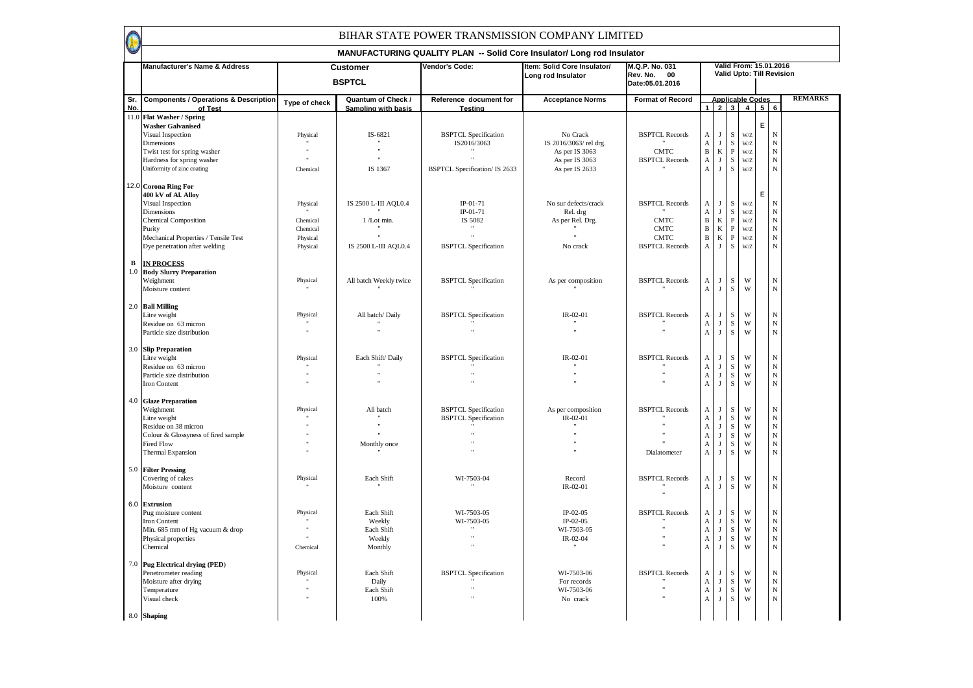|            |                                                             |                      |                                           | MANUFACTURING QUALITY PLAN -- Solid Core Insulator/ Long rod Insulator |                                                   |                                                  |                                                        |                        |                              |                                                     |   |                           |                |
|------------|-------------------------------------------------------------|----------------------|-------------------------------------------|------------------------------------------------------------------------|---------------------------------------------------|--------------------------------------------------|--------------------------------------------------------|------------------------|------------------------------|-----------------------------------------------------|---|---------------------------|----------------|
|            | Manufacturer's Name & Address                               |                      | <b>Customer</b><br><b>BSPTCL</b>          | Vendor's Code:                                                         | Item: Solid Core Insulator/<br>Long rod Insulator | M.Q.P. No. 031<br>Rev. No. 00<br>Date:05.01.2016 |                                                        |                        |                              | Valid From: 15.01.2016<br>Valid Upto: Till Revision |   |                           |                |
| Sr.<br>No. | <b>Components / Operations &amp; Description</b><br>of Test | Type of check        | Quantum of Check /<br>Sampling with basis | Reference document for<br>Testina                                      | <b>Acceptance Norms</b>                           | <b>Format of Record</b>                          |                                                        |                        |                              | <b>Applicable Codes</b><br>$1 \ 2 \ 3 \ 4 \ 5 \ 6$  |   |                           | <b>REMARKS</b> |
| 11.0       | <b>Flat Washer / Spring</b>                                 |                      |                                           |                                                                        |                                                   |                                                  |                                                        |                        |                              |                                                     |   |                           |                |
|            | <b>Washer Galvanised</b><br>Visual Inspection               | Physical             | IS-6821                                   | <b>BSPTCL Specification</b>                                            | No Crack                                          | <b>BSPTCL Records</b>                            | A                                                      | $\mathbf{J}$           | ${\bf S}$                    | W/Z                                                 | E | ${\bf N}$                 |                |
|            | Dimensions                                                  |                      |                                           | IS2016/3063                                                            | IS 2016/3063/ rel drg.                            |                                                  | $\boldsymbol{A}$                                       | J                      | ${\bf S}$                    | $\mathbf{W}/\mathbf{Z}$                             |   | $\bar{\text{N}}$          |                |
|            | Twist test for spring washer                                |                      | $\ddot{\phantom{a}}$                      |                                                                        | As per IS 3063                                    | <b>CMTC</b>                                      | $\, {\bf B}$                                           | $\rm K$                | $\, {\bf P}$                 | W/Z                                                 |   | $\bar{N}$                 |                |
|            | Hardness for spring washer<br>Uniformity of zinc coating    | Chemical             | IS 1367                                   | <b>BSPTCL Specification/ IS 2633</b>                                   | As per IS 3063<br>As per IS 2633                  | <b>BSPTCL Records</b>                            | $\boldsymbol{\mathsf{A}}$<br>$\boldsymbol{\mathsf{A}}$ | J<br>J                 | $\,$ S<br>$\,$ s             | W/Z<br>W/Z                                          |   | $_{\rm N}$<br>$_{\rm N}$  |                |
|            |                                                             |                      |                                           |                                                                        |                                                   |                                                  |                                                        |                        |                              |                                                     |   |                           |                |
|            | 12.0 Corona Ring For<br>400 kV of Al. Alloy                 |                      |                                           |                                                                        |                                                   |                                                  |                                                        |                        |                              |                                                     | E |                           |                |
|            | Visual Inspection                                           | Physical             | IS 2500 L-III AQL0.4                      | IP-01-71                                                               | No sur defects/crack                              | <b>BSPTCL Records</b>                            | A                                                      | J                      | S                            | $\mathbf{W}/\mathbf{Z}$                             |   | $_{\rm N}$                |                |
|            | Dimensions                                                  |                      |                                           | $IP-01-71$                                                             | Rel. drg                                          |                                                  | $\mathbf A$                                            | $\mathbf{J}$           | ${\bf S}$                    | W/Z                                                 |   | ${\bf N}$                 |                |
|            | <b>Chemical Composition</b>                                 | Chemical             | 1 /Lot min.                               | IS 5082                                                                | As per Rel. Drg.                                  | <b>CMTC</b><br><b>CMTC</b>                       | $\, {\bf B}$<br>$\, {\bf B}$                           | $\bf K$<br>$\mathbf K$ | $\, {\bf P}$<br>$\mathbf{P}$ | W/Z                                                 |   | ${\bf N}$<br>$\mathbf N$  |                |
|            | Purity<br>Mechanical Properties / Tensile Test              | Chemical<br>Physical |                                           | $\ddot{\phantom{0}}$                                                   |                                                   | <b>CMTC</b>                                      | $\, {\bf B}$                                           | $\mathbf K$            | $\, {\bf P}$                 | W/Z<br>W/Z                                          |   | ${\bf N}$                 |                |
|            | Dye penetration after welding                               | Physical             | IS 2500 L-III AQL0.4                      | <b>BSPTCL Specification</b>                                            | No crack                                          | <b>BSPTCL Records</b>                            | $\boldsymbol{\rm{A}}$                                  | J                      | $\,$ S                       | W/Z                                                 |   | $\mathbf N$               |                |
| В          | <b>IN PROCESS</b>                                           |                      |                                           |                                                                        |                                                   |                                                  |                                                        |                        |                              |                                                     |   |                           |                |
| $1.0$      | <b>Body Slurry Preparation</b>                              |                      |                                           |                                                                        |                                                   |                                                  |                                                        |                        |                              |                                                     |   |                           |                |
|            | Weighment                                                   | Physical             | All batch Weekly twice                    | <b>BSPTCL Specification</b>                                            | As per composition                                | <b>BSPTCL Records</b>                            | A                                                      | J                      | ${\bf S}$                    | W                                                   |   | ${\bf N}$                 |                |
|            | Moisture content                                            |                      |                                           |                                                                        |                                                   |                                                  | $\boldsymbol{\mathsf{A}}$                              | $_{\rm J}$             | $\,$ S                       | W                                                   |   | ${\bf N}$                 |                |
|            | 2.0 Ball Milling                                            |                      |                                           |                                                                        |                                                   |                                                  |                                                        |                        |                              |                                                     |   |                           |                |
|            | Litre weight                                                | Physical             | All batch/Daily                           | <b>BSPTCL Specification</b>                                            | $IR - 02 - 01$                                    | <b>BSPTCL Records</b>                            | А                                                      | J                      | ${\bf S}$                    | W                                                   |   | ${\bf N}$                 |                |
|            | Residue on 63 micron                                        |                      |                                           |                                                                        |                                                   |                                                  | $\mathbf A$                                            | J                      | ${\bf S}$<br>$\,$ S          | W<br>W                                              |   | $_{\rm N}$                |                |
|            | Particle size distribution                                  |                      |                                           |                                                                        |                                                   |                                                  | $\mathbf A$                                            | J                      |                              |                                                     |   | $\mathbf N$               |                |
| 3.0        | <b>Slip Preparation</b>                                     |                      |                                           |                                                                        |                                                   |                                                  |                                                        |                        |                              |                                                     |   |                           |                |
|            | Litre weight                                                | Physical             | Each Shift/ Daily                         | <b>BSPTCL Specification</b>                                            | IR-02-01                                          | <b>BSPTCL Records</b>                            | А                                                      | J                      | S                            | W                                                   |   | ${\bf N}$                 |                |
|            | Residue on 63 micron<br>Particle size distribution          |                      |                                           |                                                                        |                                                   |                                                  | $\boldsymbol{\mathsf{A}}$<br>$\boldsymbol{A}$          | J<br>J                 | ${\bf S}$<br>${\bf S}$       | W<br>W                                              |   | $_{\rm N}$<br>$_{\rm N}$  |                |
|            | Iron Content                                                | $\ddot{\phantom{a}}$ |                                           |                                                                        |                                                   |                                                  | $\boldsymbol{\mathsf{A}}$                              | J                      | S                            | W                                                   |   | $_{\rm N}$                |                |
|            |                                                             |                      |                                           |                                                                        |                                                   |                                                  |                                                        |                        |                              |                                                     |   |                           |                |
|            | 4.0 Glaze Preparation<br>Weighment                          | Physical             | All batch                                 | <b>BSPTCL Specification</b>                                            | As per composition                                | <b>BSPTCL Records</b>                            | A                                                      | J                      | S                            | W                                                   |   | ${\bf N}$                 |                |
|            | Litre weight                                                |                      |                                           | <b>BSPTCL Specification</b>                                            | IR-02-01                                          |                                                  | A                                                      | J                      | $\mathbf S$                  | W                                                   |   | $\mathbf N$               |                |
|            | Residue on 38 micron<br>Colour & Glossyness of fired sample |                      |                                           |                                                                        |                                                   |                                                  | A                                                      | $\bf{I}$               | ${\bf S}$<br>$\,$ S $\,$     | W<br>W                                              |   | ${\bf N}$<br>$_{\rm N}$   |                |
|            | <b>Fired Flow</b>                                           |                      | Monthly once                              |                                                                        |                                                   |                                                  | $\boldsymbol{\mathsf{A}}$<br>$\boldsymbol{\mathsf{A}}$ | J<br>J                 | ${\bf S}$                    | W                                                   |   | $_{\rm N}$                |                |
|            | <b>Thermal Expansion</b>                                    |                      |                                           |                                                                        |                                                   | Dialatometer                                     | $\boldsymbol{\mathsf{A}}$                              | J                      | ${\bf S}$                    | W                                                   |   | $_{\rm N}$                |                |
|            | 5.0 Filter Pressing                                         |                      |                                           |                                                                        |                                                   |                                                  |                                                        |                        |                              |                                                     |   |                           |                |
|            | Covering of cakes                                           | Physical             | Each Shift                                | WI-7503-04                                                             | Record                                            | <b>BSPTCL Records</b>                            | А                                                      | J                      | $\mathbf S$                  | W                                                   |   | $_{\rm N}$                |                |
|            | Moisture content                                            |                      |                                           |                                                                        | $IR-02-01$                                        |                                                  | A                                                      | $\mathbf{J}$           | $\,$ S                       | W                                                   |   | $\mathbf N$               |                |
|            | 6.0 Extrusion                                               |                      |                                           |                                                                        |                                                   |                                                  |                                                        |                        |                              |                                                     |   |                           |                |
|            | Pug moisture content                                        | Physical             | Each Shift                                | WI-7503-05                                                             | $IP-02-05$                                        | <b>BSPTCL Records</b>                            | А                                                      | J                      | $\mathbf S$                  | W                                                   |   | ${\bf N}$                 |                |
|            | Iron Content                                                |                      | Weekly                                    | WI-7503-05                                                             | $IP-02-05$                                        |                                                  | $\boldsymbol{\mathsf{A}}$                              | J                      | ${\bf S}$                    | W                                                   |   | $_{\rm N}$                |                |
|            | Min. 685 mm of Hg vacuum & drop<br>Physical properties      |                      | Each Shift<br>Weekly                      |                                                                        | WI-7503-05<br>IR-02-04                            |                                                  | $\boldsymbol{A}$<br>$\boldsymbol{\mathsf{A}}$          | J<br>J                 | ${\bf S}$<br>${\bf S}$       | W<br>W                                              |   | $\mathbf N$<br>$_{\rm N}$ |                |
|            | Chemical                                                    | Chemical             | Monthly                                   |                                                                        | $\mathbf{H}$                                      |                                                  | $\boldsymbol{\mathsf{A}}$                              | J                      | $\,$ S                       | W                                                   |   | $_{\rm N}$                |                |
|            |                                                             |                      |                                           |                                                                        |                                                   |                                                  |                                                        |                        |                              |                                                     |   |                           |                |
|            | 7.0 Pug Electrical drying (PED)<br>Penetrometer reading     | Physical             | Each Shift                                | <b>BSPTCL Specification</b>                                            | WI-7503-06                                        | <b>BSPTCL Records</b>                            | А                                                      | J                      | ${\bf S}$                    | W                                                   |   | $\mathbf N$               |                |
|            | Moisture after drying                                       |                      | Daily                                     |                                                                        | For records                                       |                                                  | $\mathbf A$                                            | $\mathbf{J}$           | ${\bf S}$                    | W                                                   |   | ${\bf N}$                 |                |
|            | Temperature                                                 |                      | Each Shift                                |                                                                        | WI-7503-06                                        |                                                  | $\mathbf A$                                            | J                      | ${\bf S}$                    | W                                                   |   | $_{\rm N}$                |                |
|            | Visual check                                                |                      | 100%                                      |                                                                        | No crack                                          |                                                  | $\boldsymbol{\mathsf{A}}$                              | $\mathbf{J}$           | ${\bf S}$                    | W                                                   |   | $_{\rm N}$                |                |
|            | 8.0 Shaping                                                 |                      |                                           |                                                                        |                                                   |                                                  |                                                        |                        |                              |                                                     |   |                           |                |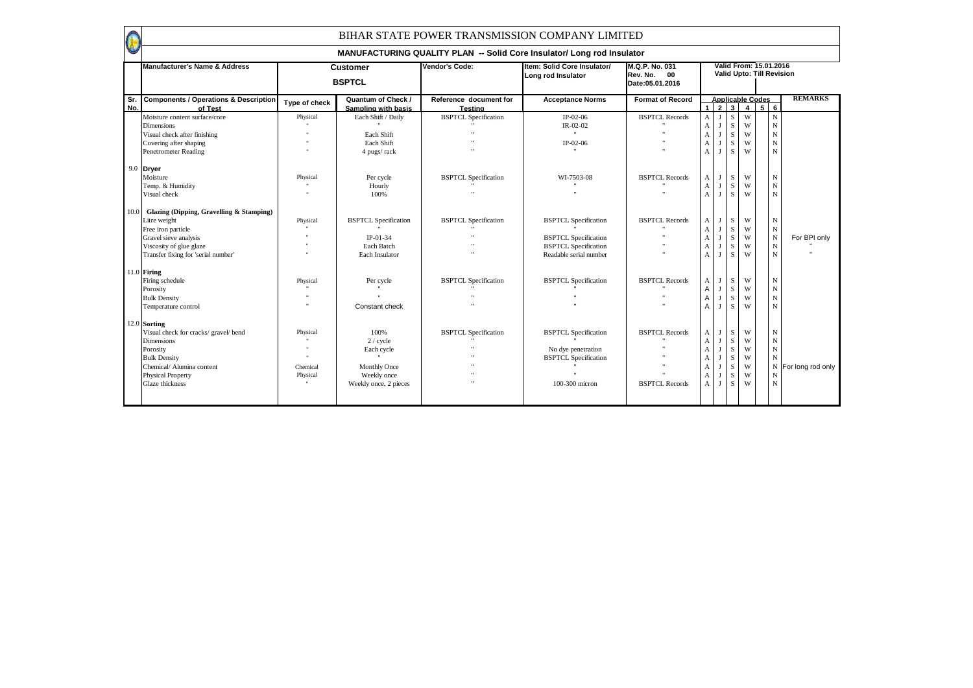|            | <b>Manufacturer's Name &amp; Address</b>                                                                                                                                           |                                  | <b>Customer</b><br><b>BSPTCL</b>                                                        | Vendor's Code:                                             | Item: Solid Core Insulator/<br>Long rod Insulator                                                                   | M.Q.P. No. 031<br>Rev. No. 00<br>Date: 05.01.2016 |                                       |                   |                                                |                                           | Valid From: 15.01.2016<br>Valid Upto: Till Revision                        |                     |
|------------|------------------------------------------------------------------------------------------------------------------------------------------------------------------------------------|----------------------------------|-----------------------------------------------------------------------------------------|------------------------------------------------------------|---------------------------------------------------------------------------------------------------------------------|---------------------------------------------------|---------------------------------------|-------------------|------------------------------------------------|-------------------------------------------|----------------------------------------------------------------------------|---------------------|
| Sr.<br>No. | <b>Components / Operations &amp; Description</b><br>of Test                                                                                                                        | Type of check                    | Quantum of Check /<br>Sampling with basis                                               | Reference document for<br><b>Testing</b>                   | <b>Acceptance Norms</b>                                                                                             | <b>Format of Record</b>                           |                                       | $1\overline{2}$ 3 |                                                | <b>Applicable Codes</b><br>$\overline{4}$ | 56                                                                         | <b>REMARKS</b>      |
|            | Moisture content surface/core<br><b>Dimensions</b><br>Visual check after finishing<br>Covering after shaping<br><b>Penetrometer Reading</b><br>9.0 <b>Dryer</b><br>Moisture        | Physical<br>Physical             | Each Shift / Daily<br>Each Shift<br>Each Shift<br>4 pugs/rack<br>Per cycle              | <b>BSPTCL Specification</b><br><b>BSPTCL Specification</b> | $IP-02-06$<br>IR-02-02<br>$\ddot{\phantom{a}}$<br>IP-02-06<br>WI-7503-08                                            | <b>BSPTCL Records</b><br><b>BSPTCL Records</b>    | A<br>A<br>$\mathbf{A}$<br>A<br>A<br>A |                   | S<br>S<br>$\mathbf S$<br>$\mathbf S$<br>S<br>S | W<br>W<br>W<br>W<br>W<br>W                | $\mathbf N$<br>$\mathbf N$<br>${\bf N}$<br>$\mathbf N$<br>$\mathbf N$<br>N |                     |
|            | Temp. & Humidity<br>Visual check                                                                                                                                                   |                                  | Hourly<br>100%                                                                          |                                                            |                                                                                                                     |                                                   | A<br>$\mathbf{A}$                     |                   | S<br>$\mathbf S$                               | W<br>W                                    | ${\bf N}$<br>${\bf N}$                                                     |                     |
| 10.0       | Glazing (Dipping, Gravelling & Stamping)<br>Litre weight<br>Free iron particle<br>Gravel sieve analysis<br>Viscosity of glue glaze<br>Transfer fixing for 'serial number'          | Physical                         | <b>BSPTCL Specification</b><br>$IP-01-34$<br>Each Batch<br>Each Insulator               | <b>BSPTCL Specification</b>                                | <b>BSPTCL Specification</b><br><b>BSPTCL Specification</b><br><b>BSPTCL</b> Specification<br>Readable serial number | <b>BSPTCL Records</b>                             | A<br>A<br>А<br>А<br>A                 |                   | S<br>S<br>S<br>$\mathbf S$<br>S                | W<br>W<br>W<br>W<br>W                     | N<br>${\bf N}$<br>$_{\rm N}$<br>${\bf N}$<br>$\mathbf N$                   | For BPI only        |
|            | $11.0$ Firing<br>Firing schedule<br>Porosity<br><b>Bulk Density</b><br>Temperature control                                                                                         | Physical                         | Per cycle<br>Constant check                                                             | <b>BSPTCL Specification</b>                                | <b>BSPTCL Specification</b>                                                                                         | <b>BSPTCL Records</b>                             | A<br>A<br>A                           |                   | S<br>S<br>$\mathbf S$<br>S                     | W<br>W<br>W<br>W                          | $\mathbf N$<br>${\bf N}$<br>${\bf N}$<br>${\bf N}$                         |                     |
|            | 12.0 Sorting<br>Visual check for cracks/ gravel/ bend<br><b>Dimensions</b><br>Porosity<br><b>Bulk Density</b><br>Chemical/ Alumina content<br>Physical Property<br>Glaze thickness | Physical<br>Chemical<br>Physical | 100%<br>2 / cycle<br>Each cycle<br>Monthly Once<br>Weekly once<br>Weekly once, 2 pieces | <b>BSPTCL Specification</b>                                | <b>BSPTCL Specification</b><br>No dye penetration<br><b>BSPTCL Specification</b><br>100-300 micron                  | <b>BSPTCL Records</b><br><b>BSPTCL Records</b>    | A<br>A<br>А<br>А<br>А<br>A<br>A       |                   | S<br>S<br>S<br>$\mathbf S$<br>S<br>S<br>S      | W<br>W<br>W<br>W<br>W<br>W<br>W           | $_{\rm N}$<br>$_{\rm N}$<br>${\bf N}$<br>N<br>N<br>$\mathbf N$             | N For long rod only |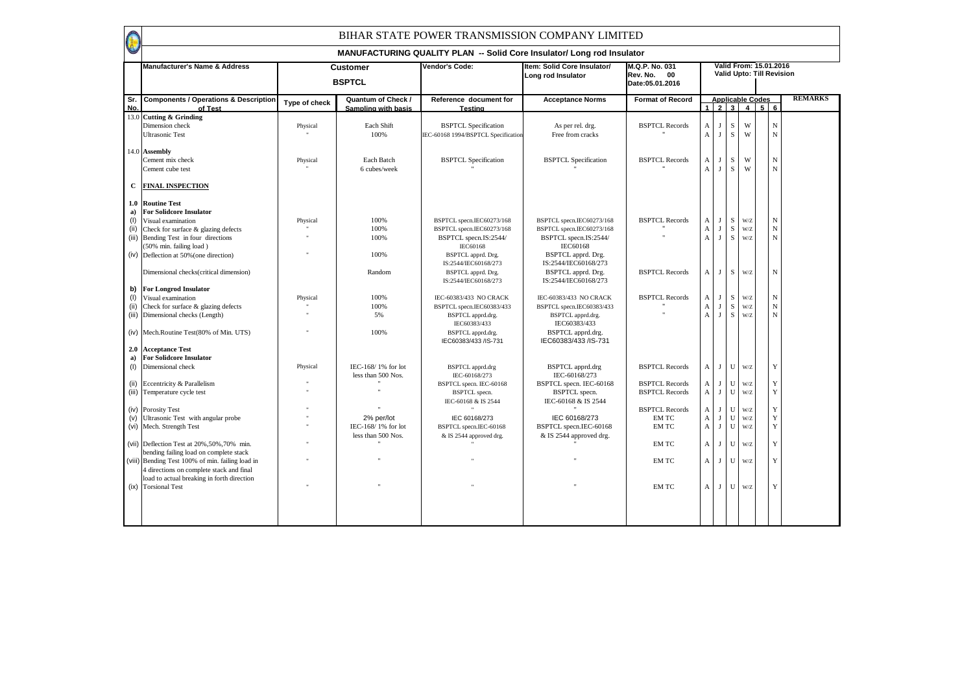|            | <b>Manufacturer's Name &amp; Address</b>                                                                                               |               | <b>Customer</b><br><b>BSPTCL</b>                 | Vendor's Code:                                                                           | Item: Solid Core Insulator/<br>Long rod Insulator                                        | M.Q.P. No. 031<br>Rev. No. 00<br>Date: 05.01.2016 |                                           |                            |                          |            | Valid From: 15.01.2016<br>Valid Upto: Till Revision |                            |                |
|------------|----------------------------------------------------------------------------------------------------------------------------------------|---------------|--------------------------------------------------|------------------------------------------------------------------------------------------|------------------------------------------------------------------------------------------|---------------------------------------------------|-------------------------------------------|----------------------------|--------------------------|------------|-----------------------------------------------------|----------------------------|----------------|
| Sr.<br>No. | <b>Components / Operations &amp; Description</b><br>of Test                                                                            | Type of check | <b>Quantum of Check /</b><br>Sampling with basis | Reference document for<br><b>Testing</b>                                                 | <b>Acceptance Norms</b>                                                                  | <b>Format of Record</b>                           |                                           |                            |                          | 1234       | <b>Applicable Codes</b><br>56                       |                            | <b>REMARKS</b> |
|            | 13.0 Cutting & Grinding<br>Dimension check<br><b>Ultrasonic Test</b>                                                                   | Physical      | Each Shift<br>100%                               | <b>BSPTCL Specification</b><br>IEC-60168 1994/BSPTCL Specification                       | As per rel. drg.<br>Free from cracks                                                     | <b>BSPTCL Records</b>                             | A<br>$\mathbf{A}$                         | п<br>J                     | S<br>S                   | W<br>W     |                                                     | $\mathbf N$<br>$_{\rm N}$  |                |
|            | 14.0 Assembly<br>Cement mix check<br>Cement cube test                                                                                  | Physical      | Each Batch<br>6 cubes/week                       | <b>BSPTCL Specification</b>                                                              | <b>BSPTCL Specification</b>                                                              | <b>BSPTCL Records</b>                             | A<br>$\mathbf{A}$                         | $\mathbf I$<br>$\mathbf I$ | S<br>S                   | W<br>W     |                                                     | $\mathbf N$<br>$\mathbf N$ |                |
| C          | <b>FINAL INSPECTION</b>                                                                                                                |               |                                                  |                                                                                          |                                                                                          |                                                   |                                           |                            |                          |            |                                                     |                            |                |
| a)<br>(1)  | 1.0 Routine Test<br><b>For Solidcore Insulator</b><br>Visual examination                                                               | Physical      | 100%                                             | BSPTCL specn.IEC60273/168                                                                | BSPTCL specn.IEC60273/168                                                                | <b>BSPTCL Records</b>                             | А                                         | $\mathbf I$                | S                        | W/Z        |                                                     | $_{\rm N}$                 |                |
| (ii)       | Check for surface & glazing defects<br>(iii) Bending Test in four directions<br>(50% min. failing load)                                |               | 100%<br>100%                                     | BSPTCL specn.IEC60273/168<br>BSPTCL specn.IS:2544/<br><b>IEC60168</b>                    | BSPTCL specn.IEC60273/168<br>BSPTCL specn.IS:2544/<br>IEC60168                           |                                                   | $\boldsymbol{A}$<br>$\mathbf{A}$          | $\mathbf{I}$<br>J          | S<br>S                   | W/Z<br>W/Z |                                                     | ${\bf N}$<br>${\bf N}$     |                |
|            | (iv) Deflection at 50% (one direction)<br>Dimensional checks(critical dimension)                                                       |               | 100%<br>Random                                   | BSPTCL apprd. Drg.<br>IS:2544/IEC60168/273<br>BSPTCL apprd. Drg.<br>IS:2544/IEC60168/273 | BSPTCL apprd. Drg.<br>IS:2544/IEC60168/273<br>BSPTCL apprd. Drg.<br>IS:2544/IEC60168/273 | <b>BSPTCL Records</b>                             | A                                         | J                          | S                        | W/Z        |                                                     | $\mathbf N$                |                |
| b)<br>(1)  | <b>For Longrod Insulator</b><br>Visual examination                                                                                     | Physical      | 100%                                             | IEC-60383/433 NO CRACK                                                                   | IEC-60383/433 NO CRACK                                                                   | <b>BSPTCL Records</b>                             | $\mathbf{A}$                              | J                          | S                        | W/Z        |                                                     | $_{\rm N}$                 |                |
| (ii)       | Check for surface & glazing defects                                                                                                    |               | 100%                                             | BSPTCL specn.IEC60383/433                                                                | BSPTCL specn.IEC60383/433                                                                |                                                   | A                                         | J                          | S                        | W/Z        |                                                     | $\mathbf N$                |                |
|            | (iii) Dimensional checks (Length)                                                                                                      |               | 5%                                               | BSPTCL apprd.drg.<br>IEC60383/433                                                        | BSPTCL apprd.drg.<br>IEC60383/433                                                        |                                                   | $\mathbf{A}$                              | J                          | S                        | W/Z        |                                                     | $\mathbf N$                |                |
|            | (iv) Mech.Routine Test(80% of Min. UTS)                                                                                                |               | 100%                                             | BSPTCL apprd.drg.<br>IEC60383/433 /IS-731                                                | BSPTCL apprd.drg.<br>IEC60383/433 /IS-731                                                |                                                   |                                           |                            |                          |            |                                                     |                            |                |
| 2.0<br>a)  | <b>Acceptance Test</b><br><b>For Solidcore Insulator</b>                                                                               |               |                                                  |                                                                                          |                                                                                          |                                                   |                                           |                            |                          |            |                                                     |                            |                |
| (1)        | Dimensional check                                                                                                                      | Physical      | IEC-168/1% for lot<br>less than 500 Nos.         | <b>BSPTCL</b> apprd.drg<br>IEC-60168/273                                                 | <b>BSPTCL</b> apprd.drg<br>IEC-60168/273                                                 | <b>BSPTCL Records</b>                             | A                                         | J                          | U                        | W/Z        |                                                     | Y                          |                |
| (iii)      | (ii) Eccentricity & Parallelism<br>Temperature cycle test                                                                              |               |                                                  | BSPTCL specn. IEC-60168<br><b>BSPTCL</b> specn.<br>IEC-60168 & IS 2544                   | BSPTCL specn. IEC-60168<br><b>BSPTCL</b> specn.<br>IEC-60168 & IS 2544                   | <b>BSPTCL Records</b><br><b>BSPTCL Records</b>    | A<br>$\mathbf{A}$                         | J<br>J                     | $\mathbf U$<br>${\bf U}$ | W/Z<br>W/Z |                                                     | $\mathbf Y$<br>$\mathbf Y$ |                |
|            | (iv) Porosity Test                                                                                                                     |               |                                                  |                                                                                          |                                                                                          | <b>BSPTCL Records</b>                             | A                                         | J                          | ${\bf U}$                | W/Z        |                                                     | $\mathbf Y$                |                |
|            | (v) Ultrasonic Test with angular probe<br>(vi) Mech. Strength Test                                                                     |               | 2% per/lot<br>IEC-168/1% for lot                 | IEC 60168/273<br>BSPTCL specn.IEC-60168                                                  | IEC 60168/273<br>BSPTCL specn.IEC-60168                                                  | <b>EMTC</b><br>EM TC                              | $\boldsymbol{\mathsf{A}}$<br>$\mathbf{A}$ | $\mathbf{J}$<br>J          | U<br>U                   | W/Z<br>W/Z |                                                     | $\mathbf Y$<br>Y           |                |
|            |                                                                                                                                        |               | less than 500 Nos.                               | & IS 2544 approved drg.                                                                  | & IS 2544 approved drg.                                                                  |                                                   |                                           |                            |                          |            |                                                     |                            |                |
|            | (vii) Deflection Test at 20%, 50%, 70% min.                                                                                            |               |                                                  |                                                                                          |                                                                                          | EM TC                                             | $\mathbf{A}$                              | П                          | ${\bf U}$                | W/Z        |                                                     | $\mathbf Y$                |                |
|            | bending failing load on complete stack<br>(viii) Bending Test 100% of min. failing load in<br>4 directions on complete stack and final |               |                                                  |                                                                                          |                                                                                          | EM TC                                             | A                                         | J                          | $\mathbf U$              | W/Z        |                                                     | $\mathbf Y$                |                |
|            | load to actual breaking in forth direction<br>(ix) Torsional Test                                                                      |               |                                                  |                                                                                          |                                                                                          | EM TC                                             | A                                         | J                          | ${\bf U}$                | W/Z        |                                                     | Y                          |                |
|            |                                                                                                                                        |               |                                                  |                                                                                          |                                                                                          |                                                   |                                           |                            |                          |            |                                                     |                            |                |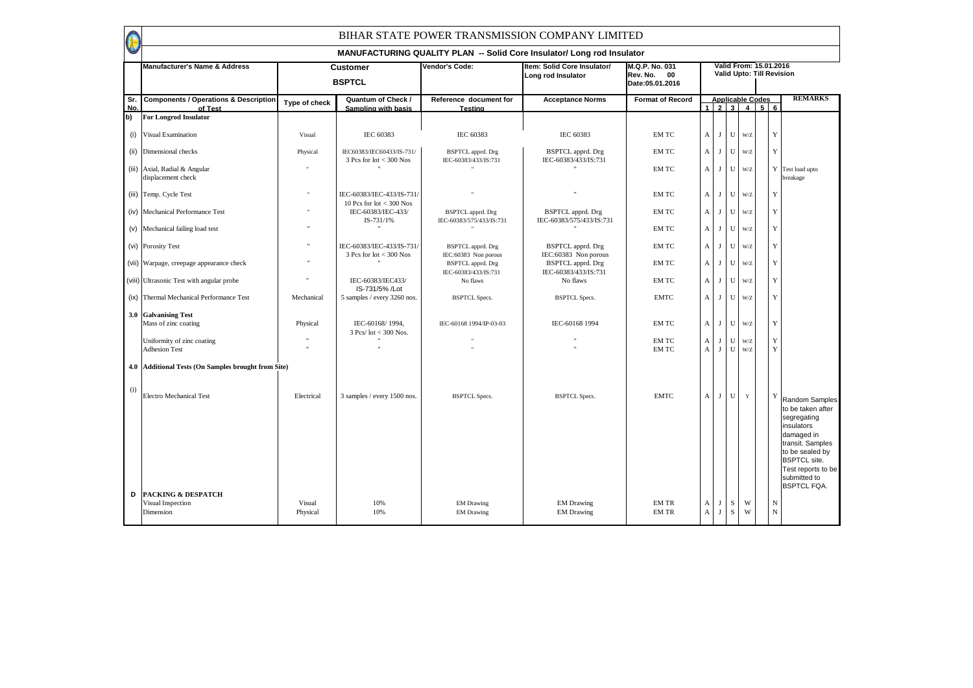|            | <b>Manufacturer's Name &amp; Address</b>                        |                    | <b>Customer</b><br><b>BSPTCL</b>                         | Vendor's Code:                                   | Item: Solid Core Insulator/<br>Long rod Insulator    | M.Q.P. No. 031<br>Rev. No. 00<br>Date: 05.01.2016 |                              |              |                |                                                    | Valid From: 15.01.2016<br>Valid Upto: Till Revision                                                                                                                                                           |
|------------|-----------------------------------------------------------------|--------------------|----------------------------------------------------------|--------------------------------------------------|------------------------------------------------------|---------------------------------------------------|------------------------------|--------------|----------------|----------------------------------------------------|---------------------------------------------------------------------------------------------------------------------------------------------------------------------------------------------------------------|
| Sr.<br>No. | <b>Components / Operations &amp; Description</b><br>of Test     | Type of check      | Quantum of Check /<br>Sampling with basis                | Reference document for<br>Testing                | <b>Acceptance Norms</b>                              | <b>Format of Record</b>                           |                              |              |                | <b>Applicable Codes</b><br>$1 \ 2 \ 3 \ 4 \ 5 \ 6$ | <b>REMARKS</b>                                                                                                                                                                                                |
| b)         | <b>For Longrod Insulator</b>                                    |                    |                                                          |                                                  |                                                      |                                                   |                              |              |                |                                                    |                                                                                                                                                                                                               |
|            | (i) Visual Examination                                          | Visual             | IEC 60383                                                | IEC 60383                                        | IEC 60383                                            | EM TC                                             | A                            | J            | U              | W/Z                                                | Y                                                                                                                                                                                                             |
|            | (ii) Dimensional checks                                         | Physical           | IEC60383/IEC60433/IS-731/<br>$3$ Pcs for lot $<$ 300 Nos | BSPTCL apprd. Drg<br>IEC-60383/433/IS:731        | <b>BSPTCL</b> apprd. Drg<br>IEC-60383/433/IS:731     | EM TC                                             | $\mathbf{A}$                 | J            | U              | W/Z                                                | Y                                                                                                                                                                                                             |
|            | (iii) Axial, Radial & Angular<br>displacement check             |                    |                                                          |                                                  |                                                      | EM TC                                             | A                            | J            | U              | W/Z                                                | Y Test load upto<br>breakage                                                                                                                                                                                  |
|            | (iii) Temp. Cycle Test                                          | $\mathbf{H}$       | IEC-60383/IEC-433/IS-731/<br>10 Pcs for $lot < 300$ Nos  |                                                  |                                                      | EM TC                                             | A                            |              | $J$ U          | W/Z                                                | Y                                                                                                                                                                                                             |
|            | (iv) Mechanical Performance Test                                |                    | IEC-60383/IEC-433/<br>IS-731/1%                          | BSPTCL apprd. Drg<br>IEC-60383/575/433/IS:731    | <b>BSPTCL</b> apprd. Drg<br>IEC-60383/575/433/IS:731 | EM TC                                             | $\mathbf{A}$                 | J            | U              | $\mathbf{W}/\mathbf{Z}$                            | $\mathbf Y$                                                                                                                                                                                                   |
|            | (v) Mechanical failing load test                                | $\mathbf{a}$       |                                                          |                                                  |                                                      | EM TC                                             | A                            | J            | U              | W/Z                                                | Y                                                                                                                                                                                                             |
|            | (vi) Porosity Test                                              |                    | IEC-60383/IEC-433/IS-731/<br>$3$ Pcs for lot $<$ 300 Nos | <b>BSPTCL</b> apprd. Drg<br>IEC:60383 Non porous | <b>BSPTCL</b> apprd. Drg<br>IEC:60383 Non porous     | EM TC                                             | A                            | $\mathbf{J}$ | U              | W/Z                                                | $\mathbf Y$                                                                                                                                                                                                   |
|            | (vii) Warpage, creepage appearance check                        | $\mathbf{a}$       |                                                          | <b>BSPTCL</b> apprd. Drg<br>IEC-60383/433/IS:731 | <b>BSPTCL</b> apprd. Drg<br>IEC-60383/433/IS:731     | EM TC                                             | A                            | J            | U              | W/Z                                                | Y                                                                                                                                                                                                             |
|            | (viii) Ultrasonic Test with angular probe                       |                    | IEC-60383/IEC433/<br>IS-731/5% /Lot                      | No flaws                                         | No flaws                                             | EM TC                                             | $\mathbf{A}$                 | $_{\rm J}$   | $\mathbf U$    | W/Z                                                | $\mathbf Y$                                                                                                                                                                                                   |
|            | (ix) Thermal Mechanical Performance Test                        | Mechanical         | 5 samples / every 3260 nos.                              | <b>BSPTCL Specs.</b>                             | <b>BSPTCL Specs.</b>                                 | <b>EMTC</b>                                       | A                            | J            | U              | W/Z                                                | Y                                                                                                                                                                                                             |
|            | 3.0 Galvanising Test<br>Mass of zinc coating                    | Physical           | IEC-60168/1994,<br>$3$ Pcs/ lot < 300 Nos.               | IEC-60168 1994/IP-03-03                          | IEC-60168 1994                                       | EM TC                                             | A                            | J            | $\mathbf U$    | W/Z                                                | $\mathbf Y$                                                                                                                                                                                                   |
|            | Uniformity of zinc coating<br><b>Adhesion Test</b>              |                    |                                                          |                                                  |                                                      | <b>EMTC</b><br>EM TC                              | $\mathbf{A}$<br>$\mathbf{A}$ | J<br>J       | U<br>${\bf U}$ | W/Z<br>W/Z                                         | Y<br>$\mathbf Y$                                                                                                                                                                                              |
|            | 4.0 Additional Tests (On Samples brought from Site)             |                    |                                                          |                                                  |                                                      |                                                   |                              |              |                |                                                    |                                                                                                                                                                                                               |
| (i)        | <b>Electro Mechanical Test</b>                                  | Electrical         | 3 samples / every 1500 nos.                              | <b>BSPTCL Specs.</b>                             | <b>BSPTCL Specs.</b>                                 | <b>EMTC</b>                                       | A                            | J            | $\mathbf U$    | $\mathbf Y$                                        | Y<br>Random Samples<br>to be taken after<br>segregating<br>insulators<br>damaged in<br>transit. Samples<br>to be sealed by<br><b>BSPTCL</b> site.<br>Test reports to be<br>submitted to<br><b>BSPTCL FQA.</b> |
| D          | <b>PACKING &amp; DESPATCH</b><br>Visual Inspection<br>Dimension | Visual<br>Physical | 10%<br>10%                                               | <b>EM</b> Drawing<br><b>EM</b> Drawing           | <b>EM</b> Drawing<br><b>EM Drawing</b>               | <b>EM TR</b><br><b>EM TR</b>                      | A<br>$\mathbf{A}$            | J<br>J       | S<br>S         | W<br>W                                             | N<br>$\mathbf N$                                                                                                                                                                                              |